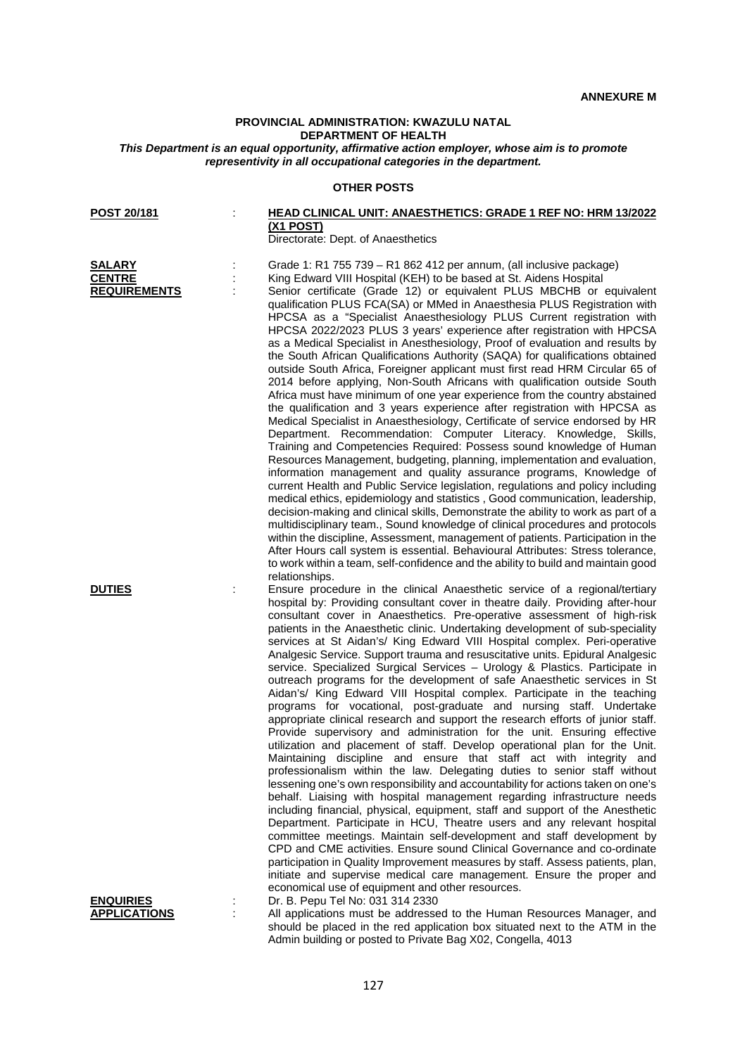## **PROVINCIAL ADMINISTRATION: KWAZULU NATAL DEPARTMENT OF HEALTH**

*This Department is an equal opportunity, affirmative action employer, whose aim is to promote representivity in all occupational categories in the department.*

## **OTHER POSTS**

| POST 20/181                    | HEAD CLINICAL UNIT: ANAESTHETICS: GRADE 1 REF NO: HRM 13/2022                                                                                                                                                                                                                                                                                                                                                                                                                                                                                                                                                                                                                                                                                                                                                                                                                                                                                                                                                                                                                                                                                                                                                                                                                                                                                                                                                                                                                                                                                                                                                                                                                                                                                                                                                                                                                                         |
|--------------------------------|-------------------------------------------------------------------------------------------------------------------------------------------------------------------------------------------------------------------------------------------------------------------------------------------------------------------------------------------------------------------------------------------------------------------------------------------------------------------------------------------------------------------------------------------------------------------------------------------------------------------------------------------------------------------------------------------------------------------------------------------------------------------------------------------------------------------------------------------------------------------------------------------------------------------------------------------------------------------------------------------------------------------------------------------------------------------------------------------------------------------------------------------------------------------------------------------------------------------------------------------------------------------------------------------------------------------------------------------------------------------------------------------------------------------------------------------------------------------------------------------------------------------------------------------------------------------------------------------------------------------------------------------------------------------------------------------------------------------------------------------------------------------------------------------------------------------------------------------------------------------------------------------------------|
|                                | <u>(X1 POST)</u><br>Directorate: Dept. of Anaesthetics                                                                                                                                                                                                                                                                                                                                                                                                                                                                                                                                                                                                                                                                                                                                                                                                                                                                                                                                                                                                                                                                                                                                                                                                                                                                                                                                                                                                                                                                                                                                                                                                                                                                                                                                                                                                                                                |
| <b>SALARY</b><br><b>CENTRE</b> | Grade 1: R1 755 739 - R1 862 412 per annum, (all inclusive package)                                                                                                                                                                                                                                                                                                                                                                                                                                                                                                                                                                                                                                                                                                                                                                                                                                                                                                                                                                                                                                                                                                                                                                                                                                                                                                                                                                                                                                                                                                                                                                                                                                                                                                                                                                                                                                   |
| <b>REQUIREMENTS</b>            | King Edward VIII Hospital (KEH) to be based at St. Aidens Hospital<br>Senior certificate (Grade 12) or equivalent PLUS MBCHB or equivalent<br>qualification PLUS FCA(SA) or MMed in Anaesthesia PLUS Registration with<br>HPCSA as a "Specialist Anaesthesiology PLUS Current registration with<br>HPCSA 2022/2023 PLUS 3 years' experience after registration with HPCSA<br>as a Medical Specialist in Anesthesiology, Proof of evaluation and results by<br>the South African Qualifications Authority (SAQA) for qualifications obtained<br>outside South Africa, Foreigner applicant must first read HRM Circular 65 of<br>2014 before applying, Non-South Africans with qualification outside South<br>Africa must have minimum of one year experience from the country abstained<br>the qualification and 3 years experience after registration with HPCSA as<br>Medical Specialist in Anaesthesiology, Certificate of service endorsed by HR<br>Department. Recommendation: Computer Literacy. Knowledge, Skills,<br>Training and Competencies Required: Possess sound knowledge of Human<br>Resources Management, budgeting, planning, implementation and evaluation,<br>information management and quality assurance programs, Knowledge of<br>current Health and Public Service legislation, regulations and policy including<br>medical ethics, epidemiology and statistics, Good communication, leadership,<br>decision-making and clinical skills, Demonstrate the ability to work as part of a<br>multidisciplinary team., Sound knowledge of clinical procedures and protocols<br>within the discipline, Assessment, management of patients. Participation in the<br>After Hours call system is essential. Behavioural Attributes: Stress tolerance,<br>to work within a team, self-confidence and the ability to build and maintain good<br>relationships.                            |
| <b>DUTIES</b>                  | Ensure procedure in the clinical Anaesthetic service of a regional/tertiary<br>hospital by: Providing consultant cover in theatre daily. Providing after-hour<br>consultant cover in Anaesthetics. Pre-operative assessment of high-risk<br>patients in the Anaesthetic clinic. Undertaking development of sub-speciality<br>services at St Aidan's/ King Edward VIII Hospital complex. Peri-operative<br>Analgesic Service. Support trauma and resuscitative units. Epidural Analgesic<br>service. Specialized Surgical Services - Urology & Plastics. Participate in<br>outreach programs for the development of safe Anaesthetic services in St<br>Aidan's/ King Edward VIII Hospital complex. Participate in the teaching<br>programs for vocational, post-graduate and nursing staff. Undertake<br>appropriate clinical research and support the research efforts of junior staff.<br>Provide supervisory and administration for the unit. Ensuring effective<br>utilization and placement of staff. Develop operational plan for the Unit.<br>Maintaining discipline and ensure that staff act with integrity and<br>professionalism within the law. Delegating duties to senior staff without<br>lessening one's own responsibility and accountability for actions taken on one's<br>behalf. Liaising with hospital management regarding infrastructure needs<br>including financial, physical, equipment, staff and support of the Anesthetic<br>Department. Participate in HCU, Theatre users and any relevant hospital<br>committee meetings. Maintain self-development and staff development by<br>CPD and CME activities. Ensure sound Clinical Governance and co-ordinate<br>participation in Quality Improvement measures by staff. Assess patients, plan,<br>initiate and supervise medical care management. Ensure the proper and<br>economical use of equipment and other resources. |
| <u>ENQUIRIES</u>               | Dr. B. Pepu Tel No: 031 314 2330                                                                                                                                                                                                                                                                                                                                                                                                                                                                                                                                                                                                                                                                                                                                                                                                                                                                                                                                                                                                                                                                                                                                                                                                                                                                                                                                                                                                                                                                                                                                                                                                                                                                                                                                                                                                                                                                      |
| <b>APPLICATIONS</b>            | All applications must be addressed to the Human Resources Manager, and<br>should be placed in the red application box situated next to the ATM in the<br>Admin building or posted to Private Bag X02, Congella, 4013                                                                                                                                                                                                                                                                                                                                                                                                                                                                                                                                                                                                                                                                                                                                                                                                                                                                                                                                                                                                                                                                                                                                                                                                                                                                                                                                                                                                                                                                                                                                                                                                                                                                                  |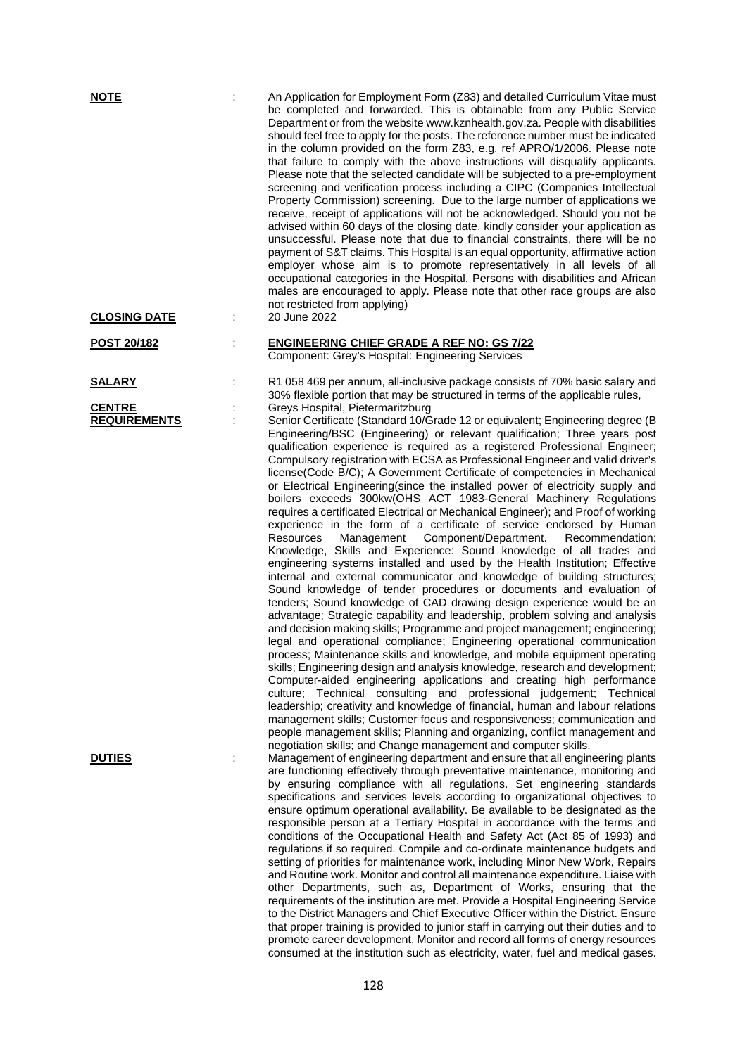| <b>NOTE</b>                          | An Application for Employment Form (Z83) and detailed Curriculum Vitae must<br>be completed and forwarded. This is obtainable from any Public Service<br>Department or from the website www.kznhealth.gov.za. People with disabilities<br>should feel free to apply for the posts. The reference number must be indicated<br>in the column provided on the form Z83, e.g. ref APRO/1/2006. Please note<br>that failure to comply with the above instructions will disqualify applicants.<br>Please note that the selected candidate will be subjected to a pre-employment<br>screening and verification process including a CIPC (Companies Intellectual<br>Property Commission) screening. Due to the large number of applications we<br>receive, receipt of applications will not be acknowledged. Should you not be<br>advised within 60 days of the closing date, kindly consider your application as<br>unsuccessful. Please note that due to financial constraints, there will be no<br>payment of S&T claims. This Hospital is an equal opportunity, affirmative action<br>employer whose aim is to promote representatively in all levels of all<br>occupational categories in the Hospital. Persons with disabilities and African<br>males are encouraged to apply. Please note that other race groups are also<br>not restricted from applying)                                                                                                                                                                                                                                                                                                                                                                                                                                                                                                                                                                                                                                                                                                                            |
|--------------------------------------|--------------------------------------------------------------------------------------------------------------------------------------------------------------------------------------------------------------------------------------------------------------------------------------------------------------------------------------------------------------------------------------------------------------------------------------------------------------------------------------------------------------------------------------------------------------------------------------------------------------------------------------------------------------------------------------------------------------------------------------------------------------------------------------------------------------------------------------------------------------------------------------------------------------------------------------------------------------------------------------------------------------------------------------------------------------------------------------------------------------------------------------------------------------------------------------------------------------------------------------------------------------------------------------------------------------------------------------------------------------------------------------------------------------------------------------------------------------------------------------------------------------------------------------------------------------------------------------------------------------------------------------------------------------------------------------------------------------------------------------------------------------------------------------------------------------------------------------------------------------------------------------------------------------------------------------------------------------------------------------------------------------------------------------------------------------------------------------|
| <b>CLOSING DATE</b>                  | 20 June 2022                                                                                                                                                                                                                                                                                                                                                                                                                                                                                                                                                                                                                                                                                                                                                                                                                                                                                                                                                                                                                                                                                                                                                                                                                                                                                                                                                                                                                                                                                                                                                                                                                                                                                                                                                                                                                                                                                                                                                                                                                                                                         |
| <u>POST 20/182</u>                   | <b>ENGINEERING CHIEF GRADE A REF NO: GS 7/22</b><br>Component: Grey's Hospital: Engineering Services                                                                                                                                                                                                                                                                                                                                                                                                                                                                                                                                                                                                                                                                                                                                                                                                                                                                                                                                                                                                                                                                                                                                                                                                                                                                                                                                                                                                                                                                                                                                                                                                                                                                                                                                                                                                                                                                                                                                                                                 |
| <b>SALARY</b>                        | R1 058 469 per annum, all-inclusive package consists of 70% basic salary and<br>30% flexible portion that may be structured in terms of the applicable rules,                                                                                                                                                                                                                                                                                                                                                                                                                                                                                                                                                                                                                                                                                                                                                                                                                                                                                                                                                                                                                                                                                                                                                                                                                                                                                                                                                                                                                                                                                                                                                                                                                                                                                                                                                                                                                                                                                                                        |
| <b>CENTRE</b><br><b>REQUIREMENTS</b> | Greys Hospital, Pietermaritzburg<br>Senior Certificate (Standard 10/Grade 12 or equivalent; Engineering degree (B<br>Engineering/BSC (Engineering) or relevant qualification; Three years post<br>qualification experience is required as a registered Professional Engineer;<br>Compulsory registration with ECSA as Professional Engineer and valid driver's<br>license(Code B/C); A Government Certificate of competencies in Mechanical<br>or Electrical Engineering(since the installed power of electricity supply and<br>boilers exceeds 300kw(OHS ACT 1983-General Machinery Regulations<br>requires a certificated Electrical or Mechanical Engineer); and Proof of working<br>experience in the form of a certificate of service endorsed by Human<br>Management Component/Department.<br>Recommendation:<br>Resources<br>Knowledge, Skills and Experience: Sound knowledge of all trades and<br>engineering systems installed and used by the Health Institution; Effective<br>internal and external communicator and knowledge of building structures;<br>Sound knowledge of tender procedures or documents and evaluation of<br>tenders; Sound knowledge of CAD drawing design experience would be an<br>advantage; Strategic capability and leadership, problem solving and analysis<br>and decision making skills; Programme and project management; engineering;<br>legal and operational compliance; Engineering operational communication<br>process; Maintenance skills and knowledge, and mobile equipment operating<br>skills; Engineering design and analysis knowledge, research and development;<br>Computer-aided engineering applications and creating high performance<br>culture; Technical consulting and professional judgement; Technical<br>leadership; creativity and knowledge of financial, human and labour relations<br>management skills; Customer focus and responsiveness; communication and<br>people management skills; Planning and organizing, conflict management and<br>negotiation skills; and Change management and computer skills. |
| <b>DUTIES</b>                        | Management of engineering department and ensure that all engineering plants<br>are functioning effectively through preventative maintenance, monitoring and<br>by ensuring compliance with all regulations. Set engineering standards<br>specifications and services levels according to organizational objectives to<br>ensure optimum operational availability. Be available to be designated as the<br>responsible person at a Tertiary Hospital in accordance with the terms and<br>conditions of the Occupational Health and Safety Act (Act 85 of 1993) and<br>regulations if so required. Compile and co-ordinate maintenance budgets and<br>setting of priorities for maintenance work, including Minor New Work, Repairs<br>and Routine work. Monitor and control all maintenance expenditure. Liaise with<br>other Departments, such as, Department of Works, ensuring that the<br>requirements of the institution are met. Provide a Hospital Engineering Service<br>to the District Managers and Chief Executive Officer within the District. Ensure<br>that proper training is provided to junior staff in carrying out their duties and to<br>promote career development. Monitor and record all forms of energy resources<br>consumed at the institution such as electricity, water, fuel and medical gases.                                                                                                                                                                                                                                                                                                                                                                                                                                                                                                                                                                                                                                                                                                                                                          |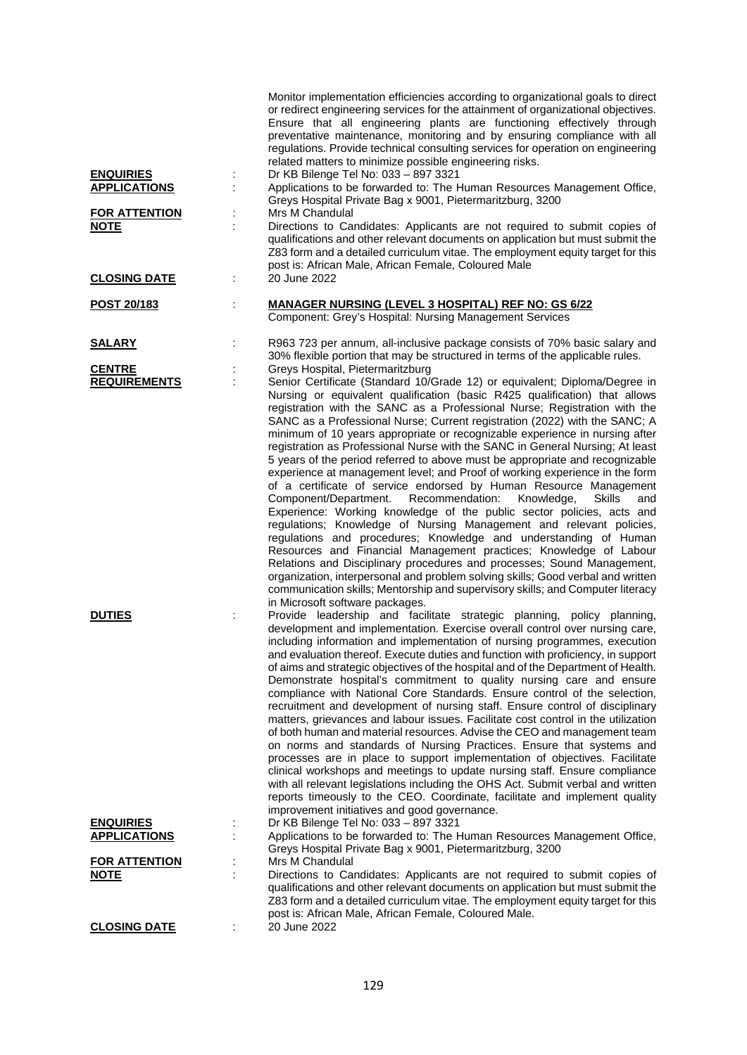| <b>ENQUIRIES</b><br><b>APPLICATIONS</b><br><b>FOR ATTENTION</b><br><b>NOTE</b> | İ | Monitor implementation efficiencies according to organizational goals to direct<br>or redirect engineering services for the attainment of organizational objectives.<br>Ensure that all engineering plants are functioning effectively through<br>preventative maintenance, monitoring and by ensuring compliance with all<br>regulations. Provide technical consulting services for operation on engineering<br>related matters to minimize possible engineering risks.<br>Dr KB Bilenge Tel No: 033 - 897 3321<br>Applications to be forwarded to: The Human Resources Management Office,<br>Greys Hospital Private Bag x 9001, Pietermaritzburg, 3200<br>Mrs M Chandulal<br>Directions to Candidates: Applicants are not required to submit copies of<br>qualifications and other relevant documents on application but must submit the<br>Z83 form and a detailed curriculum vitae. The employment equity target for this<br>post is: African Male, African Female, Coloured Male                                                                                                                                                                                                                                                                                                                                                                                                                             |
|--------------------------------------------------------------------------------|---|-------------------------------------------------------------------------------------------------------------------------------------------------------------------------------------------------------------------------------------------------------------------------------------------------------------------------------------------------------------------------------------------------------------------------------------------------------------------------------------------------------------------------------------------------------------------------------------------------------------------------------------------------------------------------------------------------------------------------------------------------------------------------------------------------------------------------------------------------------------------------------------------------------------------------------------------------------------------------------------------------------------------------------------------------------------------------------------------------------------------------------------------------------------------------------------------------------------------------------------------------------------------------------------------------------------------------------------------------------------------------------------------------------------------|
| <b>CLOSING DATE</b>                                                            | ÷ | 20 June 2022                                                                                                                                                                                                                                                                                                                                                                                                                                                                                                                                                                                                                                                                                                                                                                                                                                                                                                                                                                                                                                                                                                                                                                                                                                                                                                                                                                                                      |
| POST 20/183                                                                    | t | <b>MANAGER NURSING (LEVEL 3 HOSPITAL) REF NO: GS 6/22</b><br>Component: Grey's Hospital: Nursing Management Services                                                                                                                                                                                                                                                                                                                                                                                                                                                                                                                                                                                                                                                                                                                                                                                                                                                                                                                                                                                                                                                                                                                                                                                                                                                                                              |
| <b>SALARY</b>                                                                  |   | R963 723 per annum, all-inclusive package consists of 70% basic salary and<br>30% flexible portion that may be structured in terms of the applicable rules.                                                                                                                                                                                                                                                                                                                                                                                                                                                                                                                                                                                                                                                                                                                                                                                                                                                                                                                                                                                                                                                                                                                                                                                                                                                       |
| <b>CENTRE</b><br><b>REQUIREMENTS</b>                                           |   | Greys Hospital, Pietermaritzburg<br>Senior Certificate (Standard 10/Grade 12) or equivalent; Diploma/Degree in<br>Nursing or equivalent qualification (basic R425 qualification) that allows<br>registration with the SANC as a Professional Nurse; Registration with the<br>SANC as a Professional Nurse; Current registration (2022) with the SANC; A<br>minimum of 10 years appropriate or recognizable experience in nursing after<br>registration as Professional Nurse with the SANC in General Nursing; At least<br>5 years of the period referred to above must be appropriate and recognizable<br>experience at management level; and Proof of working experience in the form<br>of a certificate of service endorsed by Human Resource Management<br>Component/Department.<br>Recommendation:<br>Knowledge,<br>Skills<br>and<br>Experience: Working knowledge of the public sector policies, acts and<br>regulations; Knowledge of Nursing Management and relevant policies,<br>regulations and procedures; Knowledge and understanding of Human<br>Resources and Financial Management practices; Knowledge of Labour<br>Relations and Disciplinary procedures and processes; Sound Management,<br>organization, interpersonal and problem solving skills; Good verbal and written<br>communication skills; Mentorship and supervisory skills; and Computer literacy<br>in Microsoft software packages. |
| <b>DUTIES</b>                                                                  |   | Provide leadership and facilitate strategic planning, policy planning,<br>development and implementation. Exercise overall control over nursing care,<br>including information and implementation of nursing programmes, execution<br>and evaluation thereof. Execute duties and function with proficiency, in support<br>of aims and strategic objectives of the hospital and of the Department of Health.<br>Demonstrate hospital's commitment to quality nursing care and ensure<br>compliance with National Core Standards. Ensure control of the selection,<br>recruitment and development of nursing staff. Ensure control of disciplinary<br>matters, grievances and labour issues. Facilitate cost control in the utilization<br>of both human and material resources. Advise the CEO and management team<br>on norms and standards of Nursing Practices. Ensure that systems and<br>processes are in place to support implementation of objectives. Facilitate<br>clinical workshops and meetings to update nursing staff. Ensure compliance<br>with all relevant legislations including the OHS Act. Submit verbal and written<br>reports timeously to the CEO. Coordinate, facilitate and implement quality<br>improvement initiatives and good governance.                                                                                                                                            |
| <b>ENQUIRIES</b><br><b>APPLICATIONS</b>                                        | ÷ | Dr KB Bilenge Tel No: 033 - 897 3321<br>Applications to be forwarded to: The Human Resources Management Office,                                                                                                                                                                                                                                                                                                                                                                                                                                                                                                                                                                                                                                                                                                                                                                                                                                                                                                                                                                                                                                                                                                                                                                                                                                                                                                   |
| <b>FOR ATTENTION</b>                                                           |   | Greys Hospital Private Bag x 9001, Pietermaritzburg, 3200<br>Mrs M Chandulal                                                                                                                                                                                                                                                                                                                                                                                                                                                                                                                                                                                                                                                                                                                                                                                                                                                                                                                                                                                                                                                                                                                                                                                                                                                                                                                                      |
| <u>NOTE</u>                                                                    |   | Directions to Candidates: Applicants are not required to submit copies of<br>qualifications and other relevant documents on application but must submit the<br>Z83 form and a detailed curriculum vitae. The employment equity target for this                                                                                                                                                                                                                                                                                                                                                                                                                                                                                                                                                                                                                                                                                                                                                                                                                                                                                                                                                                                                                                                                                                                                                                    |
| <b>CLOSING DATE</b>                                                            |   | post is: African Male, African Female, Coloured Male.<br>20 June 2022                                                                                                                                                                                                                                                                                                                                                                                                                                                                                                                                                                                                                                                                                                                                                                                                                                                                                                                                                                                                                                                                                                                                                                                                                                                                                                                                             |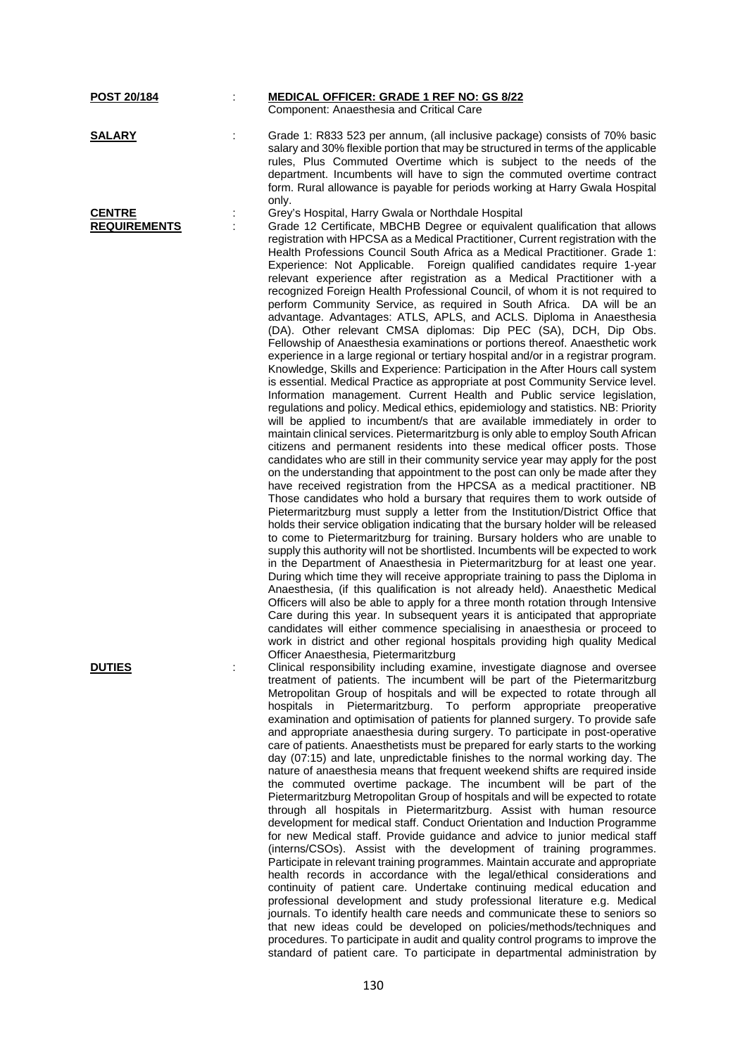| <u>POST 20/184</u>                   | t | <b>MEDICAL OFFICER: GRADE 1 REF NO: GS 8/22</b><br>Component: Anaesthesia and Critical Care                                                                                                                                                                                                                                                                                                                                                                                                                                                                                                                                                                                                                                                                                                                                                                                                                                                                                                                                                                                                                                                                                                                                                                                                                                                                                                                                                                                                                                                                                                                                                                                                                                                                                                                                                                                                                                                                                                                                                                                                                                                                                                                                                                                                                                                                                                                                                                                                                                                                                                                                                                                                                                                                                                                                  |
|--------------------------------------|---|------------------------------------------------------------------------------------------------------------------------------------------------------------------------------------------------------------------------------------------------------------------------------------------------------------------------------------------------------------------------------------------------------------------------------------------------------------------------------------------------------------------------------------------------------------------------------------------------------------------------------------------------------------------------------------------------------------------------------------------------------------------------------------------------------------------------------------------------------------------------------------------------------------------------------------------------------------------------------------------------------------------------------------------------------------------------------------------------------------------------------------------------------------------------------------------------------------------------------------------------------------------------------------------------------------------------------------------------------------------------------------------------------------------------------------------------------------------------------------------------------------------------------------------------------------------------------------------------------------------------------------------------------------------------------------------------------------------------------------------------------------------------------------------------------------------------------------------------------------------------------------------------------------------------------------------------------------------------------------------------------------------------------------------------------------------------------------------------------------------------------------------------------------------------------------------------------------------------------------------------------------------------------------------------------------------------------------------------------------------------------------------------------------------------------------------------------------------------------------------------------------------------------------------------------------------------------------------------------------------------------------------------------------------------------------------------------------------------------------------------------------------------------------------------------------------------------|
| <u>SALARY</u>                        |   | Grade 1: R833 523 per annum, (all inclusive package) consists of 70% basic<br>salary and 30% flexible portion that may be structured in terms of the applicable<br>rules, Plus Commuted Overtime which is subject to the needs of the<br>department. Incumbents will have to sign the commuted overtime contract<br>form. Rural allowance is payable for periods working at Harry Gwala Hospital<br>only.                                                                                                                                                                                                                                                                                                                                                                                                                                                                                                                                                                                                                                                                                                                                                                                                                                                                                                                                                                                                                                                                                                                                                                                                                                                                                                                                                                                                                                                                                                                                                                                                                                                                                                                                                                                                                                                                                                                                                                                                                                                                                                                                                                                                                                                                                                                                                                                                                    |
| <b>CENTRE</b><br><b>REQUIREMENTS</b> | ÷ | Grey's Hospital, Harry Gwala or Northdale Hospital<br>Grade 12 Certificate, MBCHB Degree or equivalent qualification that allows<br>registration with HPCSA as a Medical Practitioner, Current registration with the<br>Health Professions Council South Africa as a Medical Practitioner. Grade 1:<br>Experience: Not Applicable. Foreign qualified candidates require 1-year<br>relevant experience after registration as a Medical Practitioner with a<br>recognized Foreign Health Professional Council, of whom it is not required to<br>perform Community Service, as required in South Africa. DA will be an<br>advantage. Advantages: ATLS, APLS, and ACLS. Diploma in Anaesthesia<br>(DA). Other relevant CMSA diplomas: Dip PEC (SA), DCH, Dip Obs.<br>Fellowship of Anaesthesia examinations or portions thereof. Anaesthetic work<br>experience in a large regional or tertiary hospital and/or in a registrar program.<br>Knowledge, Skills and Experience: Participation in the After Hours call system<br>is essential. Medical Practice as appropriate at post Community Service level.<br>Information management. Current Health and Public service legislation,<br>regulations and policy. Medical ethics, epidemiology and statistics. NB: Priority<br>will be applied to incumbent/s that are available immediately in order to<br>maintain clinical services. Pietermaritzburg is only able to employ South African<br>citizens and permanent residents into these medical officer posts. Those<br>candidates who are still in their community service year may apply for the post<br>on the understanding that appointment to the post can only be made after they<br>have received registration from the HPCSA as a medical practitioner. NB<br>Those candidates who hold a bursary that requires them to work outside of<br>Pietermaritzburg must supply a letter from the Institution/District Office that<br>holds their service obligation indicating that the bursary holder will be released<br>to come to Pietermaritzburg for training. Bursary holders who are unable to<br>supply this authority will not be shortlisted. Incumbents will be expected to work<br>in the Department of Anaesthesia in Pietermaritzburg for at least one year.<br>During which time they will receive appropriate training to pass the Diploma in<br>Anaesthesia, (if this qualification is not already held). Anaesthetic Medical<br>Officers will also be able to apply for a three month rotation through Intensive<br>Care during this year. In subsequent years it is anticipated that appropriate<br>candidates will either commence specialising in anaesthesia or proceed to<br>work in district and other regional hospitals providing high quality Medical<br>Officer Anaesthesia, Pietermaritzburg |
| <b>DUTIES</b>                        |   | Clinical responsibility including examine, investigate diagnose and oversee<br>treatment of patients. The incumbent will be part of the Pietermaritzburg<br>Metropolitan Group of hospitals and will be expected to rotate through all<br>hospitals in Pietermaritzburg. To perform appropriate preoperative<br>examination and optimisation of patients for planned surgery. To provide safe<br>and appropriate anaesthesia during surgery. To participate in post-operative<br>care of patients. Anaesthetists must be prepared for early starts to the working<br>day (07:15) and late, unpredictable finishes to the normal working day. The<br>nature of anaesthesia means that frequent weekend shifts are required inside<br>the commuted overtime package. The incumbent will be part of the<br>Pietermaritzburg Metropolitan Group of hospitals and will be expected to rotate<br>through all hospitals in Pietermaritzburg. Assist with human resource<br>development for medical staff. Conduct Orientation and Induction Programme<br>for new Medical staff. Provide guidance and advice to junior medical staff<br>(interns/CSOs). Assist with the development of training programmes.<br>Participate in relevant training programmes. Maintain accurate and appropriate<br>health records in accordance with the legal/ethical considerations and<br>continuity of patient care. Undertake continuing medical education and<br>professional development and study professional literature e.g. Medical<br>journals. To identify health care needs and communicate these to seniors so<br>that new ideas could be developed on policies/methods/techniques and<br>procedures. To participate in audit and quality control programs to improve the<br>standard of patient care. To participate in departmental administration by                                                                                                                                                                                                                                                                                                                                                                                                                                                                                                                                                                                                                                                                                                                                                                                                                                                                                                                                                                                 |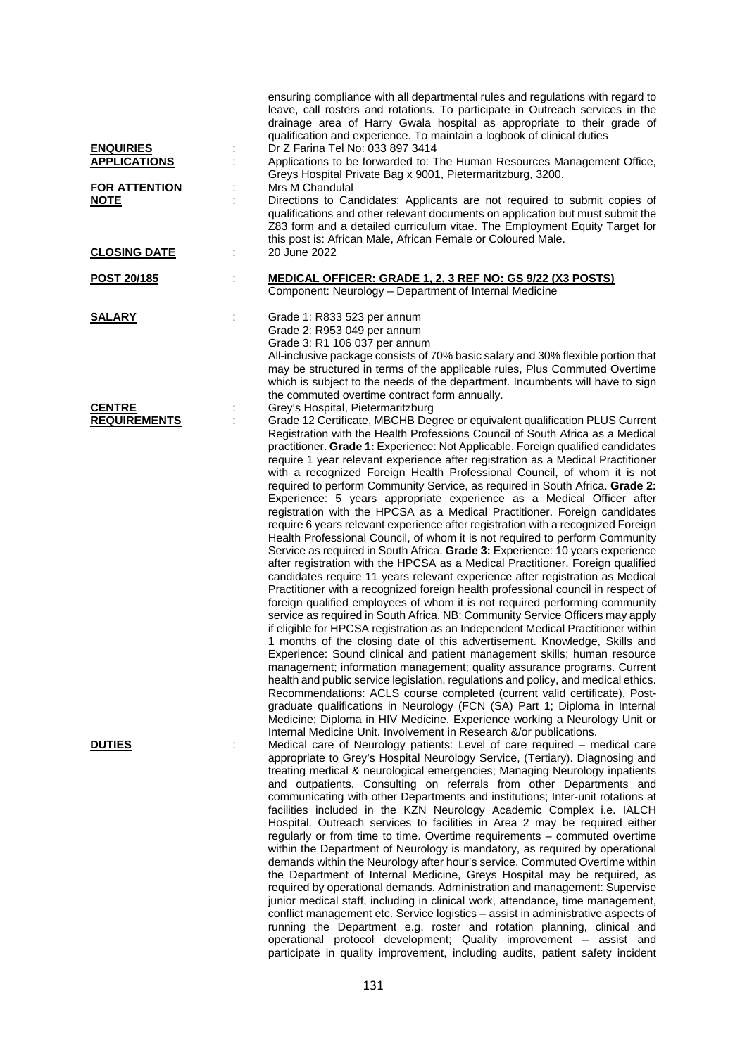| <b>ENQUIRIES</b><br><b>APPLICATIONS</b> | Î,     | ensuring compliance with all departmental rules and regulations with regard to<br>leave, call rosters and rotations. To participate in Outreach services in the<br>drainage area of Harry Gwala hospital as appropriate to their grade of<br>qualification and experience. To maintain a logbook of clinical duties<br>Dr Z Farina Tel No: 033 897 3414<br>Applications to be forwarded to: The Human Resources Management Office,<br>Greys Hospital Private Bag x 9001, Pietermaritzburg, 3200.                                                                                                                                                                                                                                                                                                                                                                                                                                                                                                                                                                                                                                                                                                                                                                                                                                                                                                                                                                                                                                                                                                                                                                                                                                                                                                                                                                                                                                                                                                                                                                                                  |
|-----------------------------------------|--------|---------------------------------------------------------------------------------------------------------------------------------------------------------------------------------------------------------------------------------------------------------------------------------------------------------------------------------------------------------------------------------------------------------------------------------------------------------------------------------------------------------------------------------------------------------------------------------------------------------------------------------------------------------------------------------------------------------------------------------------------------------------------------------------------------------------------------------------------------------------------------------------------------------------------------------------------------------------------------------------------------------------------------------------------------------------------------------------------------------------------------------------------------------------------------------------------------------------------------------------------------------------------------------------------------------------------------------------------------------------------------------------------------------------------------------------------------------------------------------------------------------------------------------------------------------------------------------------------------------------------------------------------------------------------------------------------------------------------------------------------------------------------------------------------------------------------------------------------------------------------------------------------------------------------------------------------------------------------------------------------------------------------------------------------------------------------------------------------------|
| <b>FOR ATTENTION</b><br><b>NOTE</b>     |        | Mrs M Chandulal<br>Directions to Candidates: Applicants are not required to submit copies of<br>qualifications and other relevant documents on application but must submit the<br>Z83 form and a detailed curriculum vitae. The Employment Equity Target for<br>this post is: African Male, African Female or Coloured Male.                                                                                                                                                                                                                                                                                                                                                                                                                                                                                                                                                                                                                                                                                                                                                                                                                                                                                                                                                                                                                                                                                                                                                                                                                                                                                                                                                                                                                                                                                                                                                                                                                                                                                                                                                                      |
| <b>CLOSING DATE</b>                     | ÷      | 20 June 2022                                                                                                                                                                                                                                                                                                                                                                                                                                                                                                                                                                                                                                                                                                                                                                                                                                                                                                                                                                                                                                                                                                                                                                                                                                                                                                                                                                                                                                                                                                                                                                                                                                                                                                                                                                                                                                                                                                                                                                                                                                                                                      |
| POST 20/185                             | t.     | MEDICAL OFFICER: GRADE 1, 2, 3 REF NO: GS 9/22 (X3 POSTS)<br>Component: Neurology - Department of Internal Medicine                                                                                                                                                                                                                                                                                                                                                                                                                                                                                                                                                                                                                                                                                                                                                                                                                                                                                                                                                                                                                                                                                                                                                                                                                                                                                                                                                                                                                                                                                                                                                                                                                                                                                                                                                                                                                                                                                                                                                                               |
| <b>SALARY</b>                           |        | Grade 1: R833 523 per annum<br>Grade 2: R953 049 per annum<br>Grade 3: R1 106 037 per annum<br>All-inclusive package consists of 70% basic salary and 30% flexible portion that<br>may be structured in terms of the applicable rules, Plus Commuted Overtime<br>which is subject to the needs of the department. Incumbents will have to sign<br>the commuted overtime contract form annually.                                                                                                                                                                                                                                                                                                                                                                                                                                                                                                                                                                                                                                                                                                                                                                                                                                                                                                                                                                                                                                                                                                                                                                                                                                                                                                                                                                                                                                                                                                                                                                                                                                                                                                   |
| <b>CENTRE</b><br><b>REQUIREMENTS</b>    | ÷<br>ċ | Grey's Hospital, Pietermaritzburg<br>Grade 12 Certificate, MBCHB Degree or equivalent qualification PLUS Current<br>Registration with the Health Professions Council of South Africa as a Medical<br>practitioner. Grade 1: Experience: Not Applicable. Foreign qualified candidates<br>require 1 year relevant experience after registration as a Medical Practitioner<br>with a recognized Foreign Health Professional Council, of whom it is not<br>required to perform Community Service, as required in South Africa. Grade 2:<br>Experience: 5 years appropriate experience as a Medical Officer after<br>registration with the HPCSA as a Medical Practitioner. Foreign candidates<br>require 6 years relevant experience after registration with a recognized Foreign<br>Health Professional Council, of whom it is not required to perform Community<br>Service as required in South Africa. Grade 3: Experience: 10 years experience<br>after registration with the HPCSA as a Medical Practitioner. Foreign qualified<br>candidates require 11 years relevant experience after registration as Medical<br>Practitioner with a recognized foreign health professional council in respect of<br>foreign qualified employees of whom it is not required performing community<br>service as required in South Africa. NB: Community Service Officers may apply<br>if eligible for HPCSA registration as an Independent Medical Practitioner within<br>1 months of the closing date of this advertisement. Knowledge, Skills and<br>Experience: Sound clinical and patient management skills; human resource<br>management; information management; quality assurance programs. Current<br>health and public service legislation, regulations and policy, and medical ethics.<br>Recommendations: ACLS course completed (current valid certificate), Post-<br>graduate qualifications in Neurology (FCN (SA) Part 1; Diploma in Internal<br>Medicine; Diploma in HIV Medicine. Experience working a Neurology Unit or<br>Internal Medicine Unit. Involvement in Research &/or publications. |
| <b>DUTIES</b>                           |        | Medical care of Neurology patients: Level of care required - medical care<br>appropriate to Grey's Hospital Neurology Service, (Tertiary). Diagnosing and<br>treating medical & neurological emergencies; Managing Neurology inpatients<br>and outpatients. Consulting on referrals from other Departments and<br>communicating with other Departments and institutions; Inter-unit rotations at<br>facilities included in the KZN Neurology Academic Complex i.e. IALCH<br>Hospital. Outreach services to facilities in Area 2 may be required either<br>regularly or from time to time. Overtime requirements - commuted overtime<br>within the Department of Neurology is mandatory, as required by operational<br>demands within the Neurology after hour's service. Commuted Overtime within<br>the Department of Internal Medicine, Greys Hospital may be required, as<br>required by operational demands. Administration and management: Supervise<br>junior medical staff, including in clinical work, attendance, time management,<br>conflict management etc. Service logistics - assist in administrative aspects of<br>running the Department e.g. roster and rotation planning, clinical and<br>operational protocol development; Quality improvement - assist and<br>participate in quality improvement, including audits, patient safety incident                                                                                                                                                                                                                                                                                                                                                                                                                                                                                                                                                                                                                                                                                                                                  |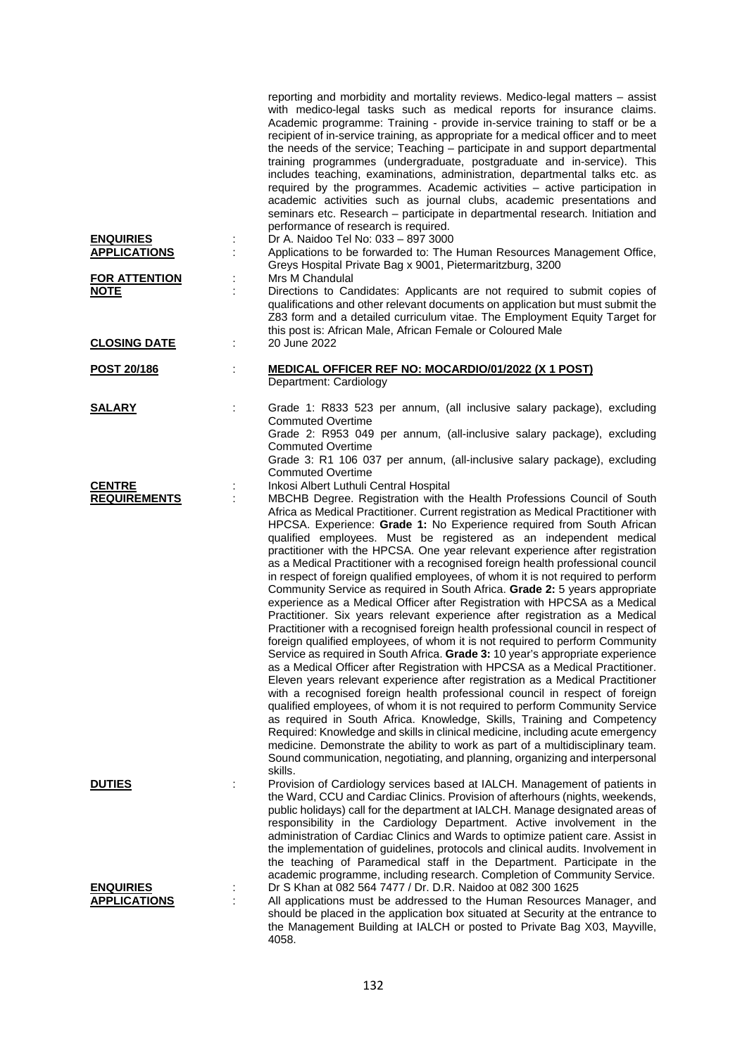| <b>ENQUIRIES</b>                                           |        | reporting and morbidity and mortality reviews. Medico-legal matters - assist<br>with medico-legal tasks such as medical reports for insurance claims.<br>Academic programme: Training - provide in-service training to staff or be a<br>recipient of in-service training, as appropriate for a medical officer and to meet<br>the needs of the service; Teaching - participate in and support departmental<br>training programmes (undergraduate, postgraduate and in-service). This<br>includes teaching, examinations, administration, departmental talks etc. as<br>required by the programmes. Academic activities - active participation in<br>academic activities such as journal clubs, academic presentations and<br>seminars etc. Research - participate in departmental research. Initiation and<br>performance of research is required.<br>Dr A. Naidoo Tel No: 033 - 897 3000                                                                                                                                                                                                                                                                                                                                                                                                                                                                                                                                                                                                                                                                                                                                                                                                                                                                                                |
|------------------------------------------------------------|--------|------------------------------------------------------------------------------------------------------------------------------------------------------------------------------------------------------------------------------------------------------------------------------------------------------------------------------------------------------------------------------------------------------------------------------------------------------------------------------------------------------------------------------------------------------------------------------------------------------------------------------------------------------------------------------------------------------------------------------------------------------------------------------------------------------------------------------------------------------------------------------------------------------------------------------------------------------------------------------------------------------------------------------------------------------------------------------------------------------------------------------------------------------------------------------------------------------------------------------------------------------------------------------------------------------------------------------------------------------------------------------------------------------------------------------------------------------------------------------------------------------------------------------------------------------------------------------------------------------------------------------------------------------------------------------------------------------------------------------------------------------------------------------------------|
| <b>APPLICATIONS</b><br><b>FOR ATTENTION</b><br><b>NOTE</b> | t<br>İ | Applications to be forwarded to: The Human Resources Management Office,<br>Greys Hospital Private Bag x 9001, Pietermaritzburg, 3200<br>Mrs M Chandulal<br>Directions to Candidates: Applicants are not required to submit copies of                                                                                                                                                                                                                                                                                                                                                                                                                                                                                                                                                                                                                                                                                                                                                                                                                                                                                                                                                                                                                                                                                                                                                                                                                                                                                                                                                                                                                                                                                                                                                     |
|                                                            |        | qualifications and other relevant documents on application but must submit the<br>Z83 form and a detailed curriculum vitae. The Employment Equity Target for<br>this post is: African Male, African Female or Coloured Male                                                                                                                                                                                                                                                                                                                                                                                                                                                                                                                                                                                                                                                                                                                                                                                                                                                                                                                                                                                                                                                                                                                                                                                                                                                                                                                                                                                                                                                                                                                                                              |
| <b>CLOSING DATE</b>                                        | ÷      | 20 June 2022                                                                                                                                                                                                                                                                                                                                                                                                                                                                                                                                                                                                                                                                                                                                                                                                                                                                                                                                                                                                                                                                                                                                                                                                                                                                                                                                                                                                                                                                                                                                                                                                                                                                                                                                                                             |
| POST 20/186                                                | ÷      | <b>MEDICAL OFFICER REF NO: MOCARDIO/01/2022 (X 1 POST)</b><br>Department: Cardiology                                                                                                                                                                                                                                                                                                                                                                                                                                                                                                                                                                                                                                                                                                                                                                                                                                                                                                                                                                                                                                                                                                                                                                                                                                                                                                                                                                                                                                                                                                                                                                                                                                                                                                     |
| <b>SALARY</b>                                              |        | Grade 1: R833 523 per annum, (all inclusive salary package), excluding<br><b>Commuted Overtime</b><br>Grade 2: R953 049 per annum, (all-inclusive salary package), excluding                                                                                                                                                                                                                                                                                                                                                                                                                                                                                                                                                                                                                                                                                                                                                                                                                                                                                                                                                                                                                                                                                                                                                                                                                                                                                                                                                                                                                                                                                                                                                                                                             |
|                                                            |        | <b>Commuted Overtime</b><br>Grade 3: R1 106 037 per annum, (all-inclusive salary package), excluding<br><b>Commuted Overtime</b>                                                                                                                                                                                                                                                                                                                                                                                                                                                                                                                                                                                                                                                                                                                                                                                                                                                                                                                                                                                                                                                                                                                                                                                                                                                                                                                                                                                                                                                                                                                                                                                                                                                         |
| <b>CENTRE</b><br><b>REQUIREMENTS</b>                       |        | Inkosi Albert Luthuli Central Hospital<br>MBCHB Degree. Registration with the Health Professions Council of South<br>Africa as Medical Practitioner. Current registration as Medical Practitioner with<br>HPCSA. Experience: Grade 1: No Experience required from South African<br>qualified employees. Must be registered as an independent medical<br>practitioner with the HPCSA. One year relevant experience after registration<br>as a Medical Practitioner with a recognised foreign health professional council<br>in respect of foreign qualified employees, of whom it is not required to perform<br>Community Service as required in South Africa. Grade 2: 5 years appropriate<br>experience as a Medical Officer after Registration with HPCSA as a Medical<br>Practitioner. Six years relevant experience after registration as a Medical<br>Practitioner with a recognised foreign health professional council in respect of<br>foreign qualified employees, of whom it is not required to perform Community<br>Service as required in South Africa. Grade 3: 10 year's appropriate experience<br>as a Medical Officer after Registration with HPCSA as a Medical Practitioner.<br>Eleven years relevant experience after registration as a Medical Practitioner<br>with a recognised foreign health professional council in respect of foreign<br>qualified employees, of whom it is not required to perform Community Service<br>as required in South Africa. Knowledge, Skills, Training and Competency<br>Required: Knowledge and skills in clinical medicine, including acute emergency<br>medicine. Demonstrate the ability to work as part of a multidisciplinary team.<br>Sound communication, negotiating, and planning, organizing and interpersonal<br>skills. |
| <b>DUTIES</b>                                              |        | Provision of Cardiology services based at IALCH. Management of patients in<br>the Ward, CCU and Cardiac Clinics. Provision of afterhours (nights, weekends,<br>public holidays) call for the department at IALCH. Manage designated areas of<br>responsibility in the Cardiology Department. Active involvement in the<br>administration of Cardiac Clinics and Wards to optimize patient care. Assist in<br>the implementation of guidelines, protocols and clinical audits. Involvement in<br>the teaching of Paramedical staff in the Department. Participate in the<br>academic programme, including research. Completion of Community Service.                                                                                                                                                                                                                                                                                                                                                                                                                                                                                                                                                                                                                                                                                                                                                                                                                                                                                                                                                                                                                                                                                                                                      |
| <b>ENQUIRIES</b><br><b>APPLICATIONS</b>                    |        | Dr S Khan at 082 564 7477 / Dr. D.R. Naidoo at 082 300 1625<br>All applications must be addressed to the Human Resources Manager, and<br>should be placed in the application box situated at Security at the entrance to<br>the Management Building at IALCH or posted to Private Bag X03, Mayville,<br>4058.                                                                                                                                                                                                                                                                                                                                                                                                                                                                                                                                                                                                                                                                                                                                                                                                                                                                                                                                                                                                                                                                                                                                                                                                                                                                                                                                                                                                                                                                            |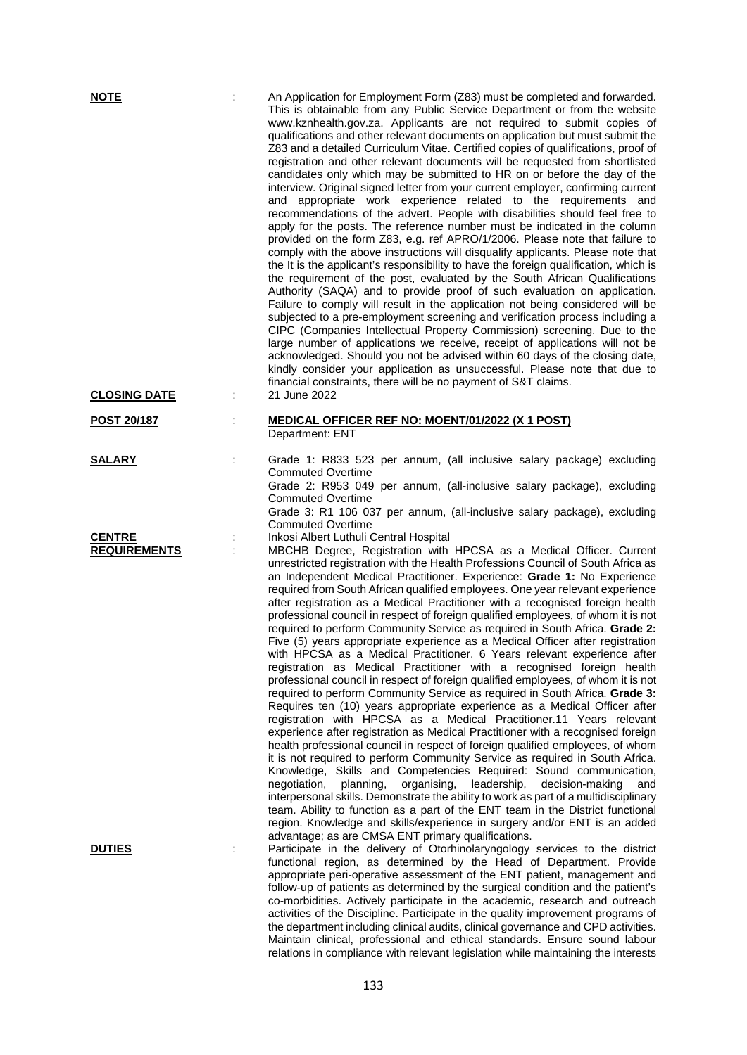| <b>NOTE</b>                          |   | An Application for Employment Form (Z83) must be completed and forwarded.<br>This is obtainable from any Public Service Department or from the website<br>www.kznhealth.gov.za. Applicants are not required to submit copies of<br>qualifications and other relevant documents on application but must submit the<br>Z83 and a detailed Curriculum Vitae. Certified copies of qualifications, proof of<br>registration and other relevant documents will be requested from shortlisted<br>candidates only which may be submitted to HR on or before the day of the<br>interview. Original signed letter from your current employer, confirming current<br>and appropriate work experience related to the requirements and<br>recommendations of the advert. People with disabilities should feel free to<br>apply for the posts. The reference number must be indicated in the column<br>provided on the form Z83, e.g. ref APRO/1/2006. Please note that failure to<br>comply with the above instructions will disqualify applicants. Please note that<br>the It is the applicant's responsibility to have the foreign qualification, which is<br>the requirement of the post, evaluated by the South African Qualifications<br>Authority (SAQA) and to provide proof of such evaluation on application.<br>Failure to comply will result in the application not being considered will be<br>subjected to a pre-employment screening and verification process including a<br>CIPC (Companies Intellectual Property Commission) screening. Due to the<br>large number of applications we receive, receipt of applications will not be<br>acknowledged. Should you not be advised within 60 days of the closing date,<br>kindly consider your application as unsuccessful. Please note that due to<br>financial constraints, there will be no payment of S&T claims.                                         |
|--------------------------------------|---|-------------------------------------------------------------------------------------------------------------------------------------------------------------------------------------------------------------------------------------------------------------------------------------------------------------------------------------------------------------------------------------------------------------------------------------------------------------------------------------------------------------------------------------------------------------------------------------------------------------------------------------------------------------------------------------------------------------------------------------------------------------------------------------------------------------------------------------------------------------------------------------------------------------------------------------------------------------------------------------------------------------------------------------------------------------------------------------------------------------------------------------------------------------------------------------------------------------------------------------------------------------------------------------------------------------------------------------------------------------------------------------------------------------------------------------------------------------------------------------------------------------------------------------------------------------------------------------------------------------------------------------------------------------------------------------------------------------------------------------------------------------------------------------------------------------------------------------------------------------------------------------------------------------|
| <b>CLOSING DATE</b>                  | t | 21 June 2022                                                                                                                                                                                                                                                                                                                                                                                                                                                                                                                                                                                                                                                                                                                                                                                                                                                                                                                                                                                                                                                                                                                                                                                                                                                                                                                                                                                                                                                                                                                                                                                                                                                                                                                                                                                                                                                                                                |
| <b>POST 20/187</b>                   |   | <b>MEDICAL OFFICER REF NO: MOENT/01/2022 (X 1 POST)</b><br>Department: ENT                                                                                                                                                                                                                                                                                                                                                                                                                                                                                                                                                                                                                                                                                                                                                                                                                                                                                                                                                                                                                                                                                                                                                                                                                                                                                                                                                                                                                                                                                                                                                                                                                                                                                                                                                                                                                                  |
| <b>SALARY</b>                        |   | Grade 1: R833 523 per annum, (all inclusive salary package) excluding<br><b>Commuted Overtime</b><br>Grade 2: R953 049 per annum, (all-inclusive salary package), excluding<br><b>Commuted Overtime</b><br>Grade 3: R1 106 037 per annum, (all-inclusive salary package), excluding<br><b>Commuted Overtime</b>                                                                                                                                                                                                                                                                                                                                                                                                                                                                                                                                                                                                                                                                                                                                                                                                                                                                                                                                                                                                                                                                                                                                                                                                                                                                                                                                                                                                                                                                                                                                                                                             |
| <b>CENTRE</b><br><b>REQUIREMENTS</b> |   | Inkosi Albert Luthuli Central Hospital<br>MBCHB Degree, Registration with HPCSA as a Medical Officer. Current<br>unrestricted registration with the Health Professions Council of South Africa as<br>an Independent Medical Practitioner. Experience: Grade 1: No Experience<br>required from South African qualified employees. One year relevant experience<br>after registration as a Medical Practitioner with a recognised foreign health<br>professional council in respect of foreign qualified employees, of whom it is not<br>required to perform Community Service as required in South Africa. Grade 2:<br>Five (5) years appropriate experience as a Medical Officer after registration<br>with HPCSA as a Medical Practitioner. 6 Years relevant experience after<br>registration as Medical Practitioner with a recognised foreign health<br>professional council in respect of foreign qualified employees, of whom it is not<br>required to perform Community Service as required in South Africa. Grade 3:<br>Requires ten (10) years appropriate experience as a Medical Officer after<br>registration with HPCSA as a Medical Practitioner.11 Years relevant<br>experience after registration as Medical Practitioner with a recognised foreign<br>health professional council in respect of foreign qualified employees, of whom<br>it is not required to perform Community Service as required in South Africa.<br>Knowledge, Skills and Competencies Required: Sound communication,<br>negotiation,<br>planning,<br>organising,<br>leadership,<br>decision-making<br>and<br>interpersonal skills. Demonstrate the ability to work as part of a multidisciplinary<br>team. Ability to function as a part of the ENT team in the District functional<br>region. Knowledge and skills/experience in surgery and/or ENT is an added<br>advantage; as are CMSA ENT primary qualifications. |
| <b>DUTIES</b>                        |   | Participate in the delivery of Otorhinolaryngology services to the district<br>functional region, as determined by the Head of Department. Provide<br>appropriate peri-operative assessment of the ENT patient, management and<br>follow-up of patients as determined by the surgical condition and the patient's<br>co-morbidities. Actively participate in the academic, research and outreach<br>activities of the Discipline. Participate in the quality improvement programs of<br>the department including clinical audits, clinical governance and CPD activities.<br>Maintain clinical, professional and ethical standards. Ensure sound labour                                                                                                                                                                                                                                                                                                                                                                                                                                                                                                                                                                                                                                                                                                                                                                                                                                                                                                                                                                                                                                                                                                                                                                                                                                                     |

relations in compliance with relevant legislation while maintaining the interests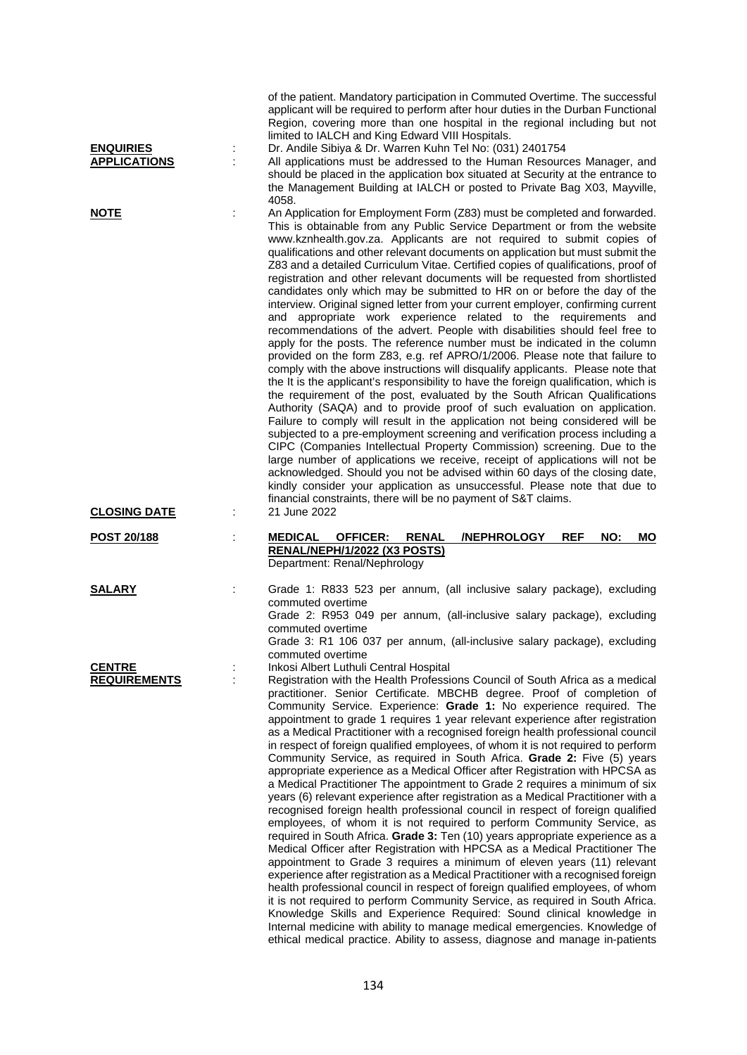| <b>ENQUIRIES</b><br><b>APPLICATIONS</b> | ÷ | of the patient. Mandatory participation in Commuted Overtime. The successful<br>applicant will be required to perform after hour duties in the Durban Functional<br>Region, covering more than one hospital in the regional including but not<br>limited to IALCH and King Edward VIII Hospitals.<br>Dr. Andile Sibiya & Dr. Warren Kuhn Tel No: (031) 2401754<br>All applications must be addressed to the Human Resources Manager, and                                                                                                                                                                                                                                                                                                                                                                                                                                                                                                                                                                                                                                                                                                                                                                                                                                                                                                                                                                                                                                                                                                                                                                                                                                                                                                                                                                                                                            |
|-----------------------------------------|---|---------------------------------------------------------------------------------------------------------------------------------------------------------------------------------------------------------------------------------------------------------------------------------------------------------------------------------------------------------------------------------------------------------------------------------------------------------------------------------------------------------------------------------------------------------------------------------------------------------------------------------------------------------------------------------------------------------------------------------------------------------------------------------------------------------------------------------------------------------------------------------------------------------------------------------------------------------------------------------------------------------------------------------------------------------------------------------------------------------------------------------------------------------------------------------------------------------------------------------------------------------------------------------------------------------------------------------------------------------------------------------------------------------------------------------------------------------------------------------------------------------------------------------------------------------------------------------------------------------------------------------------------------------------------------------------------------------------------------------------------------------------------------------------------------------------------------------------------------------------------|
|                                         |   | should be placed in the application box situated at Security at the entrance to<br>the Management Building at IALCH or posted to Private Bag X03, Mayville,<br>4058.                                                                                                                                                                                                                                                                                                                                                                                                                                                                                                                                                                                                                                                                                                                                                                                                                                                                                                                                                                                                                                                                                                                                                                                                                                                                                                                                                                                                                                                                                                                                                                                                                                                                                                |
| <b>NOTE</b>                             |   | An Application for Employment Form (Z83) must be completed and forwarded.<br>This is obtainable from any Public Service Department or from the website<br>www.kznhealth.gov.za. Applicants are not required to submit copies of<br>qualifications and other relevant documents on application but must submit the<br>Z83 and a detailed Curriculum Vitae. Certified copies of qualifications, proof of<br>registration and other relevant documents will be requested from shortlisted<br>candidates only which may be submitted to HR on or before the day of the<br>interview. Original signed letter from your current employer, confirming current<br>and appropriate work experience related to the requirements and<br>recommendations of the advert. People with disabilities should feel free to<br>apply for the posts. The reference number must be indicated in the column<br>provided on the form Z83, e.g. ref APRO/1/2006. Please note that failure to<br>comply with the above instructions will disqualify applicants. Please note that<br>the It is the applicant's responsibility to have the foreign qualification, which is<br>the requirement of the post, evaluated by the South African Qualifications<br>Authority (SAQA) and to provide proof of such evaluation on application.<br>Failure to comply will result in the application not being considered will be<br>subjected to a pre-employment screening and verification process including a<br>CIPC (Companies Intellectual Property Commission) screening. Due to the<br>large number of applications we receive, receipt of applications will not be<br>acknowledged. Should you not be advised within 60 days of the closing date,<br>kindly consider your application as unsuccessful. Please note that due to<br>financial constraints, there will be no payment of S&T claims. |
| <b>CLOSING DATE</b>                     |   | 21 June 2022                                                                                                                                                                                                                                                                                                                                                                                                                                                                                                                                                                                                                                                                                                                                                                                                                                                                                                                                                                                                                                                                                                                                                                                                                                                                                                                                                                                                                                                                                                                                                                                                                                                                                                                                                                                                                                                        |
| POST 20/188                             | t | <b>MEDICAL</b><br><b>OFFICER:</b><br><b>RENAL</b><br><b>/NEPHROLOGY</b><br><b>REF</b><br>NO:<br><b>MO</b><br>RENAL/NEPH/1/2022 (X3 POSTS)<br>Department: Renal/Nephrology                                                                                                                                                                                                                                                                                                                                                                                                                                                                                                                                                                                                                                                                                                                                                                                                                                                                                                                                                                                                                                                                                                                                                                                                                                                                                                                                                                                                                                                                                                                                                                                                                                                                                           |
| <b>SALARY</b>                           |   | Grade 1: R833 523 per annum, (all inclusive salary package), excluding<br>commuted overtime<br>Grade 2: R953 049 per annum, (all-inclusive salary package), excluding<br>commuted overtime<br>Grade 3: R1 106 037 per annum, (all-inclusive salary package), excluding<br>commuted overtime                                                                                                                                                                                                                                                                                                                                                                                                                                                                                                                                                                                                                                                                                                                                                                                                                                                                                                                                                                                                                                                                                                                                                                                                                                                                                                                                                                                                                                                                                                                                                                         |
| <b>CENTRE</b><br><b>REQUIREMENTS</b>    | ÷ | Inkosi Albert Luthuli Central Hospital<br>Registration with the Health Professions Council of South Africa as a medical<br>practitioner. Senior Certificate. MBCHB degree. Proof of completion of<br>Community Service. Experience: Grade 1: No experience required. The<br>appointment to grade 1 requires 1 year relevant experience after registration<br>as a Medical Practitioner with a recognised foreign health professional council<br>in respect of foreign qualified employees, of whom it is not required to perform<br>Community Service, as required in South Africa. Grade 2: Five (5) years<br>appropriate experience as a Medical Officer after Registration with HPCSA as<br>a Medical Practitioner The appointment to Grade 2 requires a minimum of six<br>years (6) relevant experience after registration as a Medical Practitioner with a<br>recognised foreign health professional council in respect of foreign qualified<br>employees, of whom it is not required to perform Community Service, as<br>required in South Africa. Grade 3: Ten (10) years appropriate experience as a<br>Medical Officer after Registration with HPCSA as a Medical Practitioner The<br>appointment to Grade 3 requires a minimum of eleven years (11) relevant<br>experience after registration as a Medical Practitioner with a recognised foreign<br>health professional council in respect of foreign qualified employees, of whom<br>it is not required to perform Community Service, as required in South Africa.<br>Knowledge Skills and Experience Required: Sound clinical knowledge in<br>Internal medicine with ability to manage medical emergencies. Knowledge of<br>ethical medical practice. Ability to assess, diagnose and manage in-patients                                                                                               |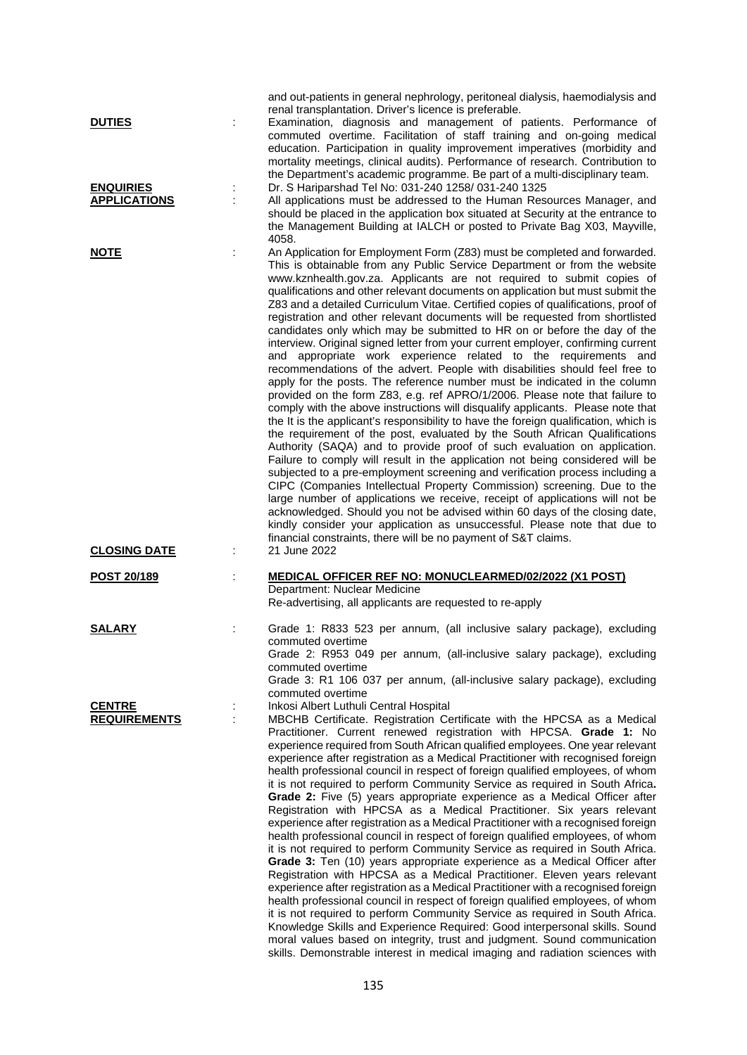| <b>DUTIES</b>                           |   | and out-patients in general nephrology, peritoneal dialysis, haemodialysis and<br>renal transplantation. Driver's licence is preferable.<br>Examination, diagnosis and management of patients. Performance of<br>commuted overtime. Facilitation of staff training and on-going medical<br>education. Participation in quality improvement imperatives (morbidity and<br>mortality meetings, clinical audits). Performance of research. Contribution to<br>the Department's academic programme. Be part of a multi-disciplinary team.                                                                                                                                                                                                                                                                                                                                                                                                                                                                                                                                                                                                                                                                                                                                                                                                                                                                                                                                                                                                                                                                                                                                                                                                                                                                                                                               |
|-----------------------------------------|---|---------------------------------------------------------------------------------------------------------------------------------------------------------------------------------------------------------------------------------------------------------------------------------------------------------------------------------------------------------------------------------------------------------------------------------------------------------------------------------------------------------------------------------------------------------------------------------------------------------------------------------------------------------------------------------------------------------------------------------------------------------------------------------------------------------------------------------------------------------------------------------------------------------------------------------------------------------------------------------------------------------------------------------------------------------------------------------------------------------------------------------------------------------------------------------------------------------------------------------------------------------------------------------------------------------------------------------------------------------------------------------------------------------------------------------------------------------------------------------------------------------------------------------------------------------------------------------------------------------------------------------------------------------------------------------------------------------------------------------------------------------------------------------------------------------------------------------------------------------------------|
| <b>ENQUIRIES</b><br><b>APPLICATIONS</b> |   | Dr. S Hariparshad Tel No: 031-240 1258/ 031-240 1325<br>All applications must be addressed to the Human Resources Manager, and<br>should be placed in the application box situated at Security at the entrance to<br>the Management Building at IALCH or posted to Private Bag X03, Mayville,<br>4058.                                                                                                                                                                                                                                                                                                                                                                                                                                                                                                                                                                                                                                                                                                                                                                                                                                                                                                                                                                                                                                                                                                                                                                                                                                                                                                                                                                                                                                                                                                                                                              |
| <b>NOTE</b>                             |   | An Application for Employment Form (Z83) must be completed and forwarded.<br>This is obtainable from any Public Service Department or from the website<br>www.kznhealth.gov.za. Applicants are not required to submit copies of<br>qualifications and other relevant documents on application but must submit the<br>Z83 and a detailed Curriculum Vitae. Certified copies of qualifications, proof of<br>registration and other relevant documents will be requested from shortlisted<br>candidates only which may be submitted to HR on or before the day of the<br>interview. Original signed letter from your current employer, confirming current<br>and appropriate work experience related to the requirements and<br>recommendations of the advert. People with disabilities should feel free to<br>apply for the posts. The reference number must be indicated in the column<br>provided on the form Z83, e.g. ref APRO/1/2006. Please note that failure to<br>comply with the above instructions will disqualify applicants. Please note that<br>the It is the applicant's responsibility to have the foreign qualification, which is<br>the requirement of the post, evaluated by the South African Qualifications<br>Authority (SAQA) and to provide proof of such evaluation on application.<br>Failure to comply will result in the application not being considered will be<br>subjected to a pre-employment screening and verification process including a<br>CIPC (Companies Intellectual Property Commission) screening. Due to the<br>large number of applications we receive, receipt of applications will not be<br>acknowledged. Should you not be advised within 60 days of the closing date,<br>kindly consider your application as unsuccessful. Please note that due to<br>financial constraints, there will be no payment of S&T claims. |
| <b>CLOSING DATE</b>                     | ÷ | 21 June 2022                                                                                                                                                                                                                                                                                                                                                                                                                                                                                                                                                                                                                                                                                                                                                                                                                                                                                                                                                                                                                                                                                                                                                                                                                                                                                                                                                                                                                                                                                                                                                                                                                                                                                                                                                                                                                                                        |
| POST 20/189                             |   | MEDICAL OFFICER REF NO: MONUCLEARMED/02/2022 (X1 POST)<br>Department: Nuclear Medicine<br>Re-advertising, all applicants are requested to re-apply                                                                                                                                                                                                                                                                                                                                                                                                                                                                                                                                                                                                                                                                                                                                                                                                                                                                                                                                                                                                                                                                                                                                                                                                                                                                                                                                                                                                                                                                                                                                                                                                                                                                                                                  |
| <b>SALARY</b>                           |   | Grade 1: R833 523 per annum, (all inclusive salary package), excluding<br>commuted overtime<br>Grade 2: R953 049 per annum, (all-inclusive salary package), excluding<br>commuted overtime<br>Grade 3: R1 106 037 per annum, (all-inclusive salary package), excluding<br>commuted overtime                                                                                                                                                                                                                                                                                                                                                                                                                                                                                                                                                                                                                                                                                                                                                                                                                                                                                                                                                                                                                                                                                                                                                                                                                                                                                                                                                                                                                                                                                                                                                                         |
| <b>CENTRE</b><br><b>REQUIREMENTS</b>    |   | Inkosi Albert Luthuli Central Hospital<br>MBCHB Certificate. Registration Certificate with the HPCSA as a Medical<br>Practitioner. Current renewed registration with HPCSA. Grade 1: No<br>experience required from South African qualified employees. One year relevant<br>experience after registration as a Medical Practitioner with recognised foreign<br>health professional council in respect of foreign qualified employees, of whom<br>it is not required to perform Community Service as required in South Africa.<br>Grade 2: Five (5) years appropriate experience as a Medical Officer after<br>Registration with HPCSA as a Medical Practitioner. Six years relevant<br>experience after registration as a Medical Practitioner with a recognised foreign<br>health professional council in respect of foreign qualified employees, of whom<br>it is not required to perform Community Service as required in South Africa.<br>Grade 3: Ten (10) years appropriate experience as a Medical Officer after<br>Registration with HPCSA as a Medical Practitioner. Eleven years relevant<br>experience after registration as a Medical Practitioner with a recognised foreign<br>health professional council in respect of foreign qualified employees, of whom<br>it is not required to perform Community Service as required in South Africa.<br>Knowledge Skills and Experience Required: Good interpersonal skills. Sound<br>moral values based on integrity, trust and judgment. Sound communication<br>skills. Demonstrable interest in medical imaging and radiation sciences with                                                                                                                                                                                                                                                                |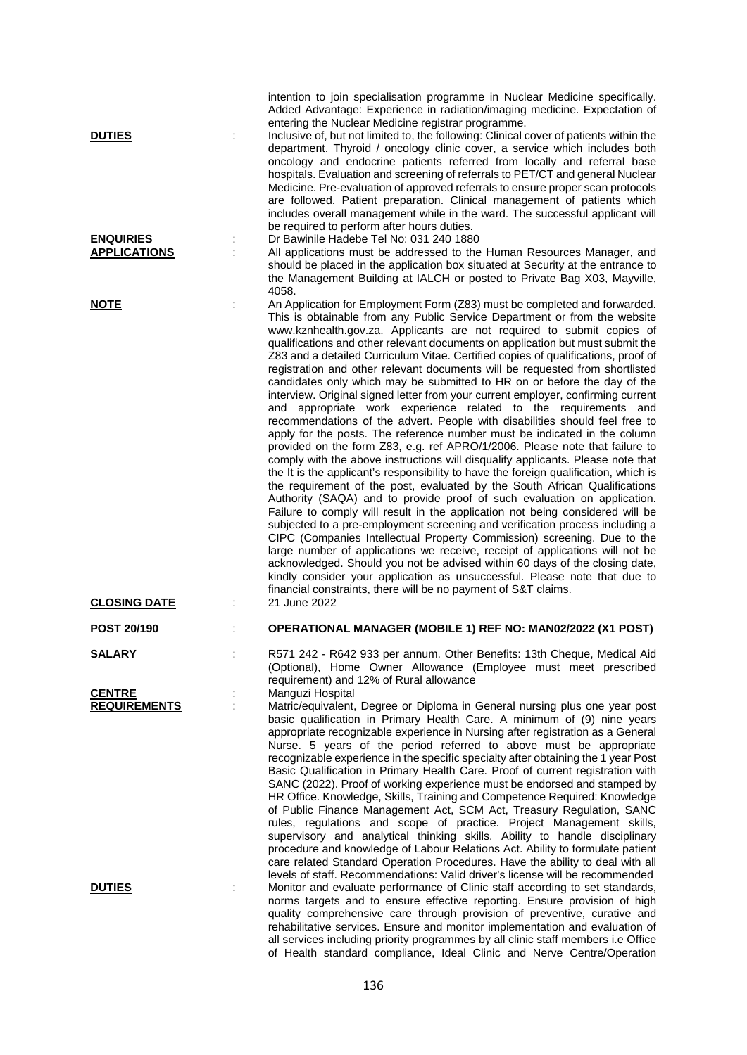| <b>DUTIES</b>                             |    | intention to join specialisation programme in Nuclear Medicine specifically.<br>Added Advantage: Experience in radiation/imaging medicine. Expectation of<br>entering the Nuclear Medicine registrar programme.<br>Inclusive of, but not limited to, the following: Clinical cover of patients within the<br>department. Thyroid / oncology clinic cover, a service which includes both<br>oncology and endocrine patients referred from locally and referral base<br>hospitals. Evaluation and screening of referrals to PET/CT and general Nuclear<br>Medicine. Pre-evaluation of approved referrals to ensure proper scan protocols<br>are followed. Patient preparation. Clinical management of patients which<br>includes overall management while in the ward. The successful applicant will<br>be required to perform after hours duties.                                                                                                                                                                                                                                                                                                                                                                                                                                                                                                                                                                                                                                                                                                                                                                                                                                                                                                                                                                                                                    |
|-------------------------------------------|----|---------------------------------------------------------------------------------------------------------------------------------------------------------------------------------------------------------------------------------------------------------------------------------------------------------------------------------------------------------------------------------------------------------------------------------------------------------------------------------------------------------------------------------------------------------------------------------------------------------------------------------------------------------------------------------------------------------------------------------------------------------------------------------------------------------------------------------------------------------------------------------------------------------------------------------------------------------------------------------------------------------------------------------------------------------------------------------------------------------------------------------------------------------------------------------------------------------------------------------------------------------------------------------------------------------------------------------------------------------------------------------------------------------------------------------------------------------------------------------------------------------------------------------------------------------------------------------------------------------------------------------------------------------------------------------------------------------------------------------------------------------------------------------------------------------------------------------------------------------------------|
| <b>ENQUIRIES</b><br><b>APPLICATIONS</b>   | İ, | Dr Bawinile Hadebe Tel No: 031 240 1880<br>All applications must be addressed to the Human Resources Manager, and<br>should be placed in the application box situated at Security at the entrance to<br>the Management Building at IALCH or posted to Private Bag X03, Mayville,<br>4058.                                                                                                                                                                                                                                                                                                                                                                                                                                                                                                                                                                                                                                                                                                                                                                                                                                                                                                                                                                                                                                                                                                                                                                                                                                                                                                                                                                                                                                                                                                                                                                           |
| <b>NOTE</b>                               |    | An Application for Employment Form (Z83) must be completed and forwarded.<br>This is obtainable from any Public Service Department or from the website<br>www.kznhealth.gov.za. Applicants are not required to submit copies of<br>qualifications and other relevant documents on application but must submit the<br>Z83 and a detailed Curriculum Vitae. Certified copies of qualifications, proof of<br>registration and other relevant documents will be requested from shortlisted<br>candidates only which may be submitted to HR on or before the day of the<br>interview. Original signed letter from your current employer, confirming current<br>and appropriate work experience related to the requirements and<br>recommendations of the advert. People with disabilities should feel free to<br>apply for the posts. The reference number must be indicated in the column<br>provided on the form Z83, e.g. ref APRO/1/2006. Please note that failure to<br>comply with the above instructions will disqualify applicants. Please note that<br>the It is the applicant's responsibility to have the foreign qualification, which is<br>the requirement of the post, evaluated by the South African Qualifications<br>Authority (SAQA) and to provide proof of such evaluation on application.<br>Failure to comply will result in the application not being considered will be<br>subjected to a pre-employment screening and verification process including a<br>CIPC (Companies Intellectual Property Commission) screening. Due to the<br>large number of applications we receive, receipt of applications will not be<br>acknowledged. Should you not be advised within 60 days of the closing date,<br>kindly consider your application as unsuccessful. Please note that due to<br>financial constraints, there will be no payment of S&T claims. |
| <b>CLOSING DATE</b><br><b>POST 20/190</b> |    | 21 June 2022<br><b>OPERATIONAL MANAGER (MOBILE 1) REF NO: MAN02/2022 (X1 POST)</b>                                                                                                                                                                                                                                                                                                                                                                                                                                                                                                                                                                                                                                                                                                                                                                                                                                                                                                                                                                                                                                                                                                                                                                                                                                                                                                                                                                                                                                                                                                                                                                                                                                                                                                                                                                                  |
| <b>SALARY</b>                             |    | R571 242 - R642 933 per annum. Other Benefits: 13th Cheque, Medical Aid<br>(Optional), Home Owner Allowance (Employee must meet prescribed<br>requirement) and 12% of Rural allowance                                                                                                                                                                                                                                                                                                                                                                                                                                                                                                                                                                                                                                                                                                                                                                                                                                                                                                                                                                                                                                                                                                                                                                                                                                                                                                                                                                                                                                                                                                                                                                                                                                                                               |
| <b>CENTRE</b><br><b>REQUIREMENTS</b>      |    | Manguzi Hospital<br>Matric/equivalent, Degree or Diploma in General nursing plus one year post<br>basic qualification in Primary Health Care. A minimum of (9) nine years<br>appropriate recognizable experience in Nursing after registration as a General<br>Nurse. 5 years of the period referred to above must be appropriate<br>recognizable experience in the specific specialty after obtaining the 1 year Post<br>Basic Qualification in Primary Health Care. Proof of current registration with<br>SANC (2022). Proof of working experience must be endorsed and stamped by<br>HR Office. Knowledge, Skills, Training and Competence Required: Knowledge<br>of Public Finance Management Act, SCM Act, Treasury Regulation, SANC<br>rules, regulations and scope of practice. Project Management skills,<br>supervisory and analytical thinking skills. Ability to handle disciplinary<br>procedure and knowledge of Labour Relations Act. Ability to formulate patient<br>care related Standard Operation Procedures. Have the ability to deal with all<br>levels of staff. Recommendations: Valid driver's license will be recommended                                                                                                                                                                                                                                                                                                                                                                                                                                                                                                                                                                                                                                                                                                                   |
| <b>DUTIES</b>                             |    | Monitor and evaluate performance of Clinic staff according to set standards,<br>norms targets and to ensure effective reporting. Ensure provision of high<br>quality comprehensive care through provision of preventive, curative and<br>rehabilitative services. Ensure and monitor implementation and evaluation of<br>all services including priority programmes by all clinic staff members i.e Office<br>of Health standard compliance, Ideal Clinic and Nerve Centre/Operation                                                                                                                                                                                                                                                                                                                                                                                                                                                                                                                                                                                                                                                                                                                                                                                                                                                                                                                                                                                                                                                                                                                                                                                                                                                                                                                                                                                |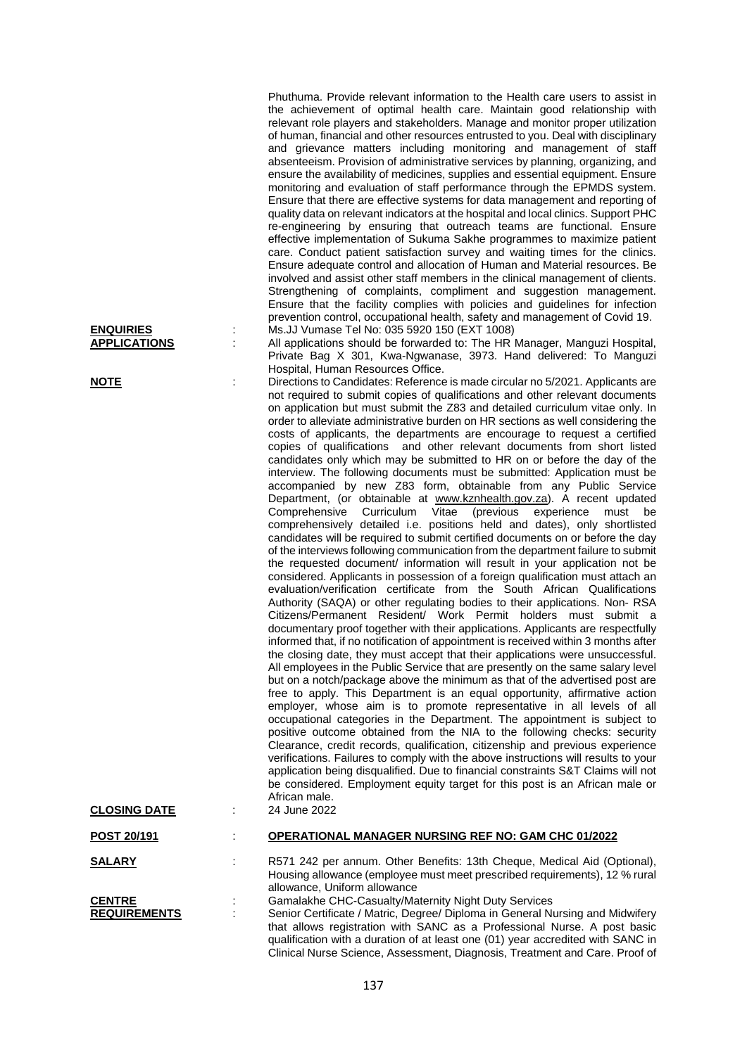Phuthuma. Provide relevant information to the Health care users to assist in the achievement of optimal health care. Maintain good relationship with relevant role players and stakeholders. Manage and monitor proper utilization of human, financial and other resources entrusted to you. Deal with disciplinary and grievance matters including monitoring and management of staff absenteeism. Provision of administrative services by planning, organizing, and ensure the availability of medicines, supplies and essential equipment. Ensure monitoring and evaluation of staff performance through the EPMDS system. Ensure that there are effective systems for data management and reporting of quality data on relevant indicators at the hospital and local clinics. Support PHC re-engineering by ensuring that outreach teams are functional. Ensure effective implementation of Sukuma Sakhe programmes to maximize patient care. Conduct patient satisfaction survey and waiting times for the clinics. Ensure adequate control and allocation of Human and Material resources. Be involved and assist other staff members in the clinical management of clients. Strengthening of complaints, compliment and suggestion management. Ensure that the facility complies with policies and guidelines for infection prevention control, occupational health, safety and management of Covid 19. **ENQUIRIES** : Ms.JJ Vumase Tel No: 035 5920 150 (EXT 1008)

All applications should be forwarded to: The HR Manager, Manguzi Hospital, Private Bag X 301, Kwa-Ngwanase, 3973. Hand delivered: To Manguzi Hospital, Human Resources Office.

**NOTE** 20021. Directions to Candidates: Reference is made circular no 5/2021. Applicants are not required to submit copies of qualifications and other relevant documents on application but must submit the Z83 and detailed curriculum vitae only. In order to alleviate administrative burden on HR sections as well considering the costs of applicants, the departments are encourage to request a certified copies of qualifications and other relevant documents from short listed candidates only which may be submitted to HR on or before the day of the interview. The following documents must be submitted: Application must be accompanied by new Z83 form, obtainable from any Public Service Department, (or obtainable at [www.kznhealth.gov.za\)](http://www.kznhealth.gov.za/). A recent updated Comprehensive Curriculum Vitae (previous experience must be Comprehensive Curriculum Vitae (previous comprehensively detailed i.e. positions held and dates), only shortlisted candidates will be required to submit certified documents on or before the day of the interviews following communication from the department failure to submit the requested document/ information will result in your application not be considered. Applicants in possession of a foreign qualification must attach an evaluation/verification certificate from the South African Qualifications Authority (SAQA) or other regulating bodies to their applications. Non- RSA Citizens/Permanent Resident/ Work Permit holders must submit a documentary proof together with their applications. Applicants are respectfully informed that, if no notification of appointment is received within 3 months after the closing date, they must accept that their applications were unsuccessful. All employees in the Public Service that are presently on the same salary level but on a notch/package above the minimum as that of the advertised post are free to apply. This Department is an equal opportunity, affirmative action employer, whose aim is to promote representative in all levels of all occupational categories in the Department. The appointment is subject to positive outcome obtained from the NIA to the following checks: security Clearance, credit records, qualification, citizenship and previous experience verifications. Failures to comply with the above instructions will results to your application being disqualified. Due to financial constraints S&T Claims will not be considered. Employment equity target for this post is an African male or African male.

Clinical Nurse Science, Assessment, Diagnosis, Treatment and Care. Proof of

| <b>CLOSING DATE</b> | African male.<br>24 June 2022                                                                                                                                                                                                                |
|---------------------|----------------------------------------------------------------------------------------------------------------------------------------------------------------------------------------------------------------------------------------------|
| POST 20/191         | <b>OPERATIONAL MANAGER NURSING REF NO: GAM CHC 01/2022</b>                                                                                                                                                                                   |
| <b>SALARY</b>       | R571 242 per annum. Other Benefits: 13th Cheque, Medical Aid (Optional),<br>Housing allowance (employee must meet prescribed requirements), 12 % rural<br>allowance, Uniform allowance                                                       |
| <b>CENTRE</b>       | Gamalakhe CHC-Casualty/Maternity Night Duty Services                                                                                                                                                                                         |
| <b>REQUIREMENTS</b> | Senior Certificate / Matric, Degree/ Diploma in General Nursing and Midwifery<br>that allows registration with SANC as a Professional Nurse. A post basic<br>qualification with a duration of at least one (01) year accredited with SANC in |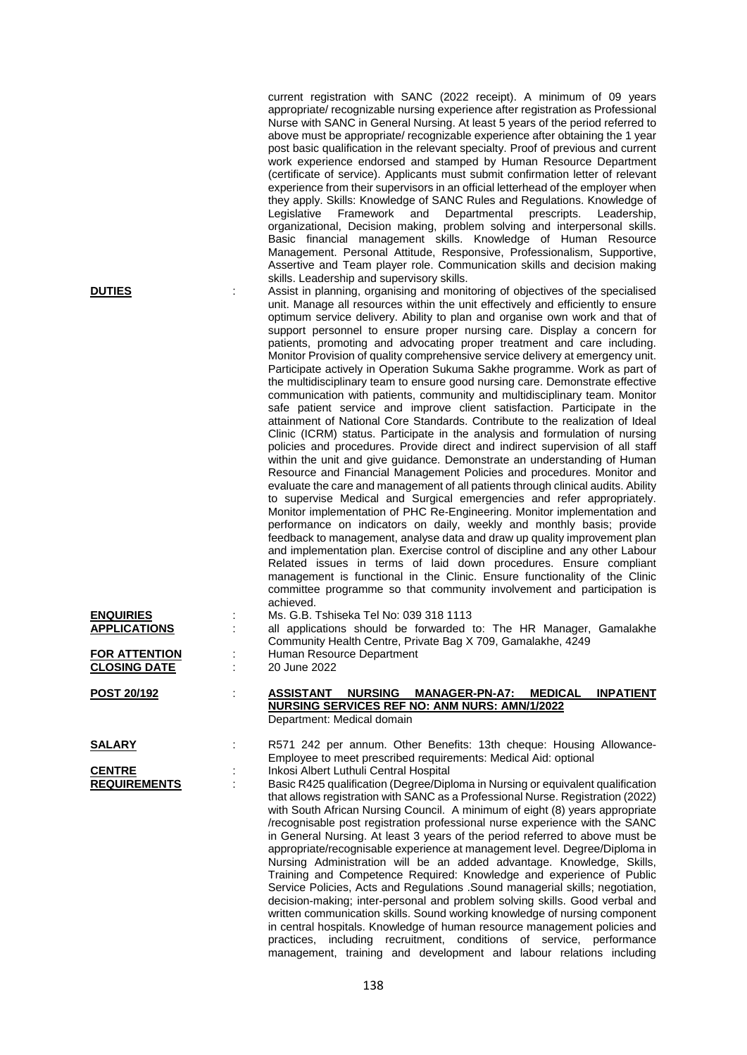|                                             | appropriate/ recognizable nursing experience after registration as Professional<br>Nurse with SANC in General Nursing. At least 5 years of the period referred to<br>above must be appropriate/ recognizable experience after obtaining the 1 year<br>post basic qualification in the relevant specialty. Proof of previous and current<br>work experience endorsed and stamped by Human Resource Department<br>(certificate of service). Applicants must submit confirmation letter of relevant<br>experience from their supervisors in an official letterhead of the employer when<br>they apply. Skills: Knowledge of SANC Rules and Regulations. Knowledge of<br>Framework<br>Departmental<br>Legislative<br>and<br>prescripts.<br>Leadership,<br>organizational, Decision making, problem solving and interpersonal skills.<br>Basic financial management skills. Knowledge of Human Resource<br>Management. Personal Attitude, Responsive, Professionalism, Supportive,<br>Assertive and Team player role. Communication skills and decision making                                                                                                                                                                                                                                                                                                                                                                                                                                                                                                                                                                                                                                                                                                                                                                                                                                                                                                                                         |
|---------------------------------------------|---------------------------------------------------------------------------------------------------------------------------------------------------------------------------------------------------------------------------------------------------------------------------------------------------------------------------------------------------------------------------------------------------------------------------------------------------------------------------------------------------------------------------------------------------------------------------------------------------------------------------------------------------------------------------------------------------------------------------------------------------------------------------------------------------------------------------------------------------------------------------------------------------------------------------------------------------------------------------------------------------------------------------------------------------------------------------------------------------------------------------------------------------------------------------------------------------------------------------------------------------------------------------------------------------------------------------------------------------------------------------------------------------------------------------------------------------------------------------------------------------------------------------------------------------------------------------------------------------------------------------------------------------------------------------------------------------------------------------------------------------------------------------------------------------------------------------------------------------------------------------------------------------------------------------------------------------------------------------------------------------|
| <b>DUTIES</b>                               | skills. Leadership and supervisory skills.<br>Assist in planning, organising and monitoring of objectives of the specialised<br>unit. Manage all resources within the unit effectively and efficiently to ensure<br>optimum service delivery. Ability to plan and organise own work and that of<br>support personnel to ensure proper nursing care. Display a concern for<br>patients, promoting and advocating proper treatment and care including.<br>Monitor Provision of quality comprehensive service delivery at emergency unit.<br>Participate actively in Operation Sukuma Sakhe programme. Work as part of<br>the multidisciplinary team to ensure good nursing care. Demonstrate effective<br>communication with patients, community and multidisciplinary team. Monitor<br>safe patient service and improve client satisfaction. Participate in the<br>attainment of National Core Standards. Contribute to the realization of Ideal<br>Clinic (ICRM) status. Participate in the analysis and formulation of nursing<br>policies and procedures. Provide direct and indirect supervision of all staff<br>within the unit and give guidance. Demonstrate an understanding of Human<br>Resource and Financial Management Policies and procedures. Monitor and<br>evaluate the care and management of all patients through clinical audits. Ability<br>to supervise Medical and Surgical emergencies and refer appropriately.<br>Monitor implementation of PHC Re-Engineering. Monitor implementation and<br>performance on indicators on daily, weekly and monthly basis; provide<br>feedback to management, analyse data and draw up quality improvement plan<br>and implementation plan. Exercise control of discipline and any other Labour<br>Related issues in terms of laid down procedures. Ensure compliant<br>management is functional in the Clinic. Ensure functionality of the Clinic<br>committee programme so that community involvement and participation is<br>achieved. |
| <b>ENQUIRIES</b><br><b>APPLICATIONS</b>     | Ms. G.B. Tshiseka Tel No: 039 318 1113<br>all applications should be forwarded to: The HR Manager, Gamalakhe<br>Community Health Centre, Private Bag X 709, Gamalakhe, 4249                                                                                                                                                                                                                                                                                                                                                                                                                                                                                                                                                                                                                                                                                                                                                                                                                                                                                                                                                                                                                                                                                                                                                                                                                                                                                                                                                                                                                                                                                                                                                                                                                                                                                                                                                                                                                       |
| <b>FOR ATTENTION</b><br><b>CLOSING DATE</b> | Human Resource Department<br>20 June 2022                                                                                                                                                                                                                                                                                                                                                                                                                                                                                                                                                                                                                                                                                                                                                                                                                                                                                                                                                                                                                                                                                                                                                                                                                                                                                                                                                                                                                                                                                                                                                                                                                                                                                                                                                                                                                                                                                                                                                         |
| POST 20/192                                 | <b>ASSISTANT</b><br><b>NURSING</b><br><b>MANAGER-PN-A7:</b><br><b>MEDICAL</b><br><b>INPATIENT</b><br><b>NURSING SERVICES REF NO: ANM NURS: AMN/1/2022</b><br>Department: Medical domain                                                                                                                                                                                                                                                                                                                                                                                                                                                                                                                                                                                                                                                                                                                                                                                                                                                                                                                                                                                                                                                                                                                                                                                                                                                                                                                                                                                                                                                                                                                                                                                                                                                                                                                                                                                                           |
| <u>SALARY</u>                               | R571 242 per annum. Other Benefits: 13th cheque: Housing Allowance-<br>Employee to meet prescribed requirements: Medical Aid: optional                                                                                                                                                                                                                                                                                                                                                                                                                                                                                                                                                                                                                                                                                                                                                                                                                                                                                                                                                                                                                                                                                                                                                                                                                                                                                                                                                                                                                                                                                                                                                                                                                                                                                                                                                                                                                                                            |
| <b>CENTRE</b><br><b>REQUIREMENTS</b>        | Inkosi Albert Luthuli Central Hospital<br>Basic R425 qualification (Degree/Diploma in Nursing or equivalent qualification<br>that allows registration with SANC as a Professional Nurse. Registration (2022)<br>with South African Nursing Council. A minimum of eight (8) years appropriate<br>/recognisable post registration professional nurse experience with the SANC<br>in General Nursing. At least 3 years of the period referred to above must be<br>appropriate/recognisable experience at management level. Degree/Diploma in<br>Nursing Administration will be an added advantage. Knowledge, Skills,<br>Training and Competence Required: Knowledge and experience of Public<br>Service Policies, Acts and Regulations . Sound managerial skills; negotiation,<br>decision-making; inter-personal and problem solving skills. Good verbal and<br>written communication skills. Sound working knowledge of nursing component<br>in central hospitals. Knowledge of human resource management policies and                                                                                                                                                                                                                                                                                                                                                                                                                                                                                                                                                                                                                                                                                                                                                                                                                                                                                                                                                                            |

current registration with SANC (2022 receipt). A minimum of 09 years

practices, including recruitment, conditions of service, performance management, training and development and labour relations including

138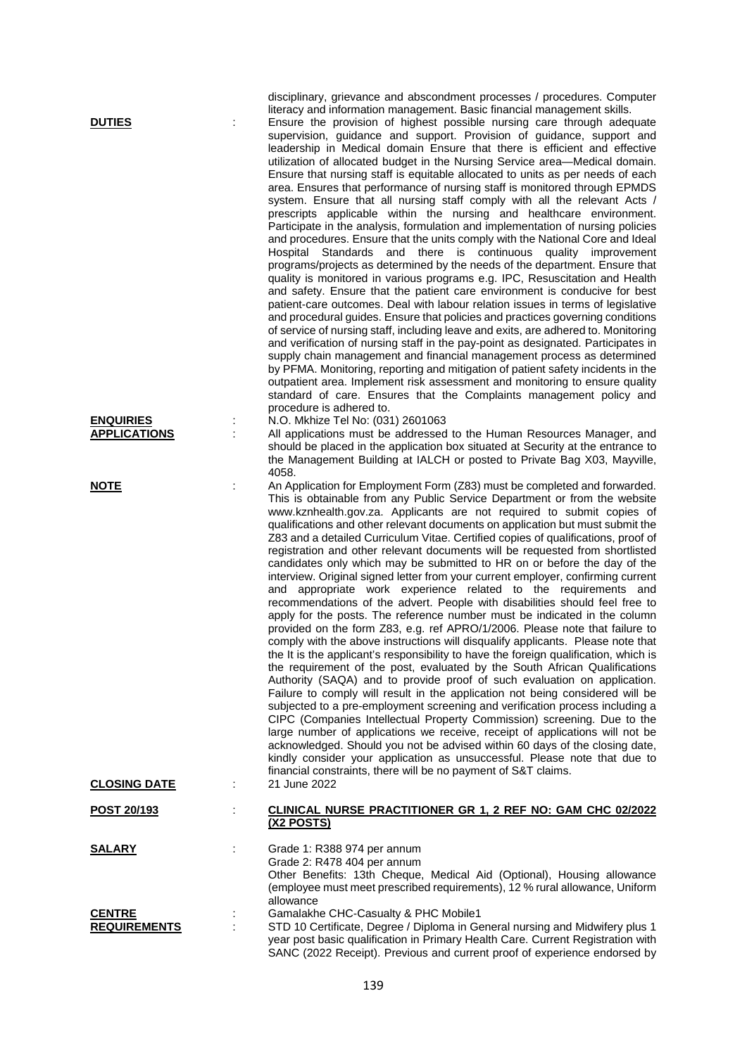| <b>DUTIES</b>                           |   | disciplinary, grievance and abscondment processes / procedures. Computer<br>literacy and information management. Basic financial management skills.<br>Ensure the provision of highest possible nursing care through adequate<br>supervision, guidance and support. Provision of guidance, support and<br>leadership in Medical domain Ensure that there is efficient and effective<br>utilization of allocated budget in the Nursing Service area-Medical domain.<br>Ensure that nursing staff is equitable allocated to units as per needs of each<br>area. Ensures that performance of nursing staff is monitored through EPMDS<br>system. Ensure that all nursing staff comply with all the relevant Acts /<br>prescripts applicable within the nursing and healthcare environment.<br>Participate in the analysis, formulation and implementation of nursing policies<br>and procedures. Ensure that the units comply with the National Core and Ideal<br>Standards and there is continuous quality improvement<br>Hospital<br>programs/projects as determined by the needs of the department. Ensure that<br>quality is monitored in various programs e.g. IPC, Resuscitation and Health<br>and safety. Ensure that the patient care environment is conducive for best<br>patient-care outcomes. Deal with labour relation issues in terms of legislative<br>and procedural guides. Ensure that policies and practices governing conditions<br>of service of nursing staff, including leave and exits, are adhered to. Monitoring<br>and verification of nursing staff in the pay-point as designated. Participates in<br>supply chain management and financial management process as determined<br>by PFMA. Monitoring, reporting and mitigation of patient safety incidents in the<br>outpatient area. Implement risk assessment and monitoring to ensure quality<br>standard of care. Ensures that the Complaints management policy and<br>procedure is adhered to. |
|-----------------------------------------|---|------------------------------------------------------------------------------------------------------------------------------------------------------------------------------------------------------------------------------------------------------------------------------------------------------------------------------------------------------------------------------------------------------------------------------------------------------------------------------------------------------------------------------------------------------------------------------------------------------------------------------------------------------------------------------------------------------------------------------------------------------------------------------------------------------------------------------------------------------------------------------------------------------------------------------------------------------------------------------------------------------------------------------------------------------------------------------------------------------------------------------------------------------------------------------------------------------------------------------------------------------------------------------------------------------------------------------------------------------------------------------------------------------------------------------------------------------------------------------------------------------------------------------------------------------------------------------------------------------------------------------------------------------------------------------------------------------------------------------------------------------------------------------------------------------------------------------------------------------------------------------------------------------------------------------------------------------------------------------|
| <b>ENQUIRIES</b><br><b>APPLICATIONS</b> | ÷ | N.O. Mkhize Tel No: (031) 2601063<br>All applications must be addressed to the Human Resources Manager, and<br>should be placed in the application box situated at Security at the entrance to<br>the Management Building at IALCH or posted to Private Bag X03, Mayville,<br>4058.                                                                                                                                                                                                                                                                                                                                                                                                                                                                                                                                                                                                                                                                                                                                                                                                                                                                                                                                                                                                                                                                                                                                                                                                                                                                                                                                                                                                                                                                                                                                                                                                                                                                                          |
| <b>NOTE</b>                             | ÷ | An Application for Employment Form (Z83) must be completed and forwarded.<br>This is obtainable from any Public Service Department or from the website<br>www.kznhealth.gov.za. Applicants are not required to submit copies of<br>qualifications and other relevant documents on application but must submit the<br>Z83 and a detailed Curriculum Vitae. Certified copies of qualifications, proof of<br>registration and other relevant documents will be requested from shortlisted<br>candidates only which may be submitted to HR on or before the day of the<br>interview. Original signed letter from your current employer, confirming current<br>and appropriate work experience related to the requirements and<br>recommendations of the advert. People with disabilities should feel free to<br>apply for the posts. The reference number must be indicated in the column<br>provided on the form Z83, e.g. ref APRO/1/2006. Please note that failure to<br>comply with the above instructions will disqualify applicants. Please note that<br>the It is the applicant's responsibility to have the foreign qualification, which is<br>the requirement of the post, evaluated by the South African Qualifications<br>Authority (SAQA) and to provide proof of such evaluation on application.<br>Failure to comply will result in the application not being considered will be<br>subjected to a pre-employment screening and verification process including a<br>CIPC (Companies Intellectual Property Commission) screening. Due to the<br>large number of applications we receive, receipt of applications will not be<br>acknowledged. Should you not be advised within 60 days of the closing date,<br>kindly consider your application as unsuccessful. Please note that due to<br>financial constraints, there will be no payment of S&T claims.                                                                                                          |
| <b>CLOSING DATE</b>                     | ÷ | 21 June 2022                                                                                                                                                                                                                                                                                                                                                                                                                                                                                                                                                                                                                                                                                                                                                                                                                                                                                                                                                                                                                                                                                                                                                                                                                                                                                                                                                                                                                                                                                                                                                                                                                                                                                                                                                                                                                                                                                                                                                                 |
| POST 20/193                             |   | CLINICAL NURSE PRACTITIONER GR 1, 2 REF NO: GAM CHC 02/2022<br>(X2 POSTS)                                                                                                                                                                                                                                                                                                                                                                                                                                                                                                                                                                                                                                                                                                                                                                                                                                                                                                                                                                                                                                                                                                                                                                                                                                                                                                                                                                                                                                                                                                                                                                                                                                                                                                                                                                                                                                                                                                    |
| <b>SALARY</b>                           |   | Grade 1: R388 974 per annum<br>Grade 2: R478 404 per annum<br>Other Benefits: 13th Cheque, Medical Aid (Optional), Housing allowance<br>(employee must meet prescribed requirements), 12 % rural allowance, Uniform<br>allowance                                                                                                                                                                                                                                                                                                                                                                                                                                                                                                                                                                                                                                                                                                                                                                                                                                                                                                                                                                                                                                                                                                                                                                                                                                                                                                                                                                                                                                                                                                                                                                                                                                                                                                                                             |
| <b>CENTRE</b><br><b>REQUIREMENTS</b>    |   | Gamalakhe CHC-Casualty & PHC Mobile1<br>STD 10 Certificate, Degree / Diploma in General nursing and Midwifery plus 1<br>year post basic qualification in Primary Health Care. Current Registration with                                                                                                                                                                                                                                                                                                                                                                                                                                                                                                                                                                                                                                                                                                                                                                                                                                                                                                                                                                                                                                                                                                                                                                                                                                                                                                                                                                                                                                                                                                                                                                                                                                                                                                                                                                      |

SANC (2022 Receipt). Previous and current proof of experience endorsed by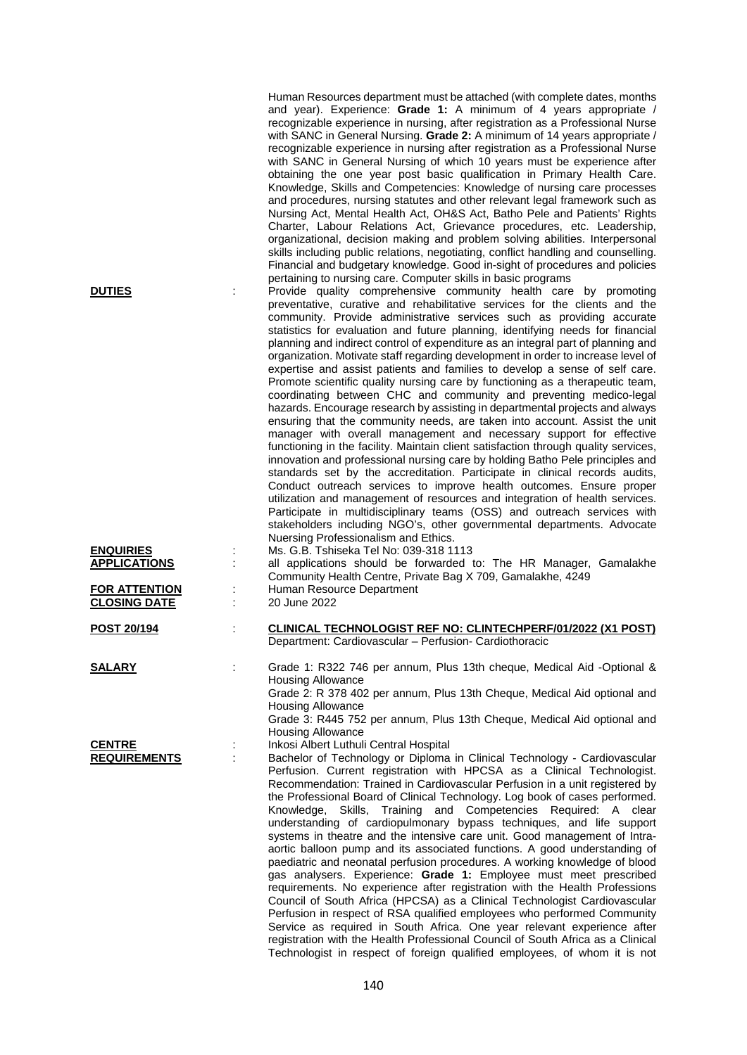|                                             |   | Human Resources department must be attached (with complete dates, months<br>and year). Experience: Grade 1: A minimum of 4 years appropriate /<br>recognizable experience in nursing, after registration as a Professional Nurse<br>with SANC in General Nursing. Grade 2: A minimum of 14 years appropriate /<br>recognizable experience in nursing after registration as a Professional Nurse<br>with SANC in General Nursing of which 10 years must be experience after<br>obtaining the one year post basic qualification in Primary Health Care.<br>Knowledge, Skills and Competencies: Knowledge of nursing care processes<br>and procedures, nursing statutes and other relevant legal framework such as<br>Nursing Act, Mental Health Act, OH&S Act, Batho Pele and Patients' Rights<br>Charter, Labour Relations Act, Grievance procedures, etc. Leadership,<br>organizational, decision making and problem solving abilities. Interpersonal<br>skills including public relations, negotiating, conflict handling and counselling.<br>Financial and budgetary knowledge. Good in-sight of procedures and policies                                                                                                                                                                                                                                                                                                                                                                         |
|---------------------------------------------|---|----------------------------------------------------------------------------------------------------------------------------------------------------------------------------------------------------------------------------------------------------------------------------------------------------------------------------------------------------------------------------------------------------------------------------------------------------------------------------------------------------------------------------------------------------------------------------------------------------------------------------------------------------------------------------------------------------------------------------------------------------------------------------------------------------------------------------------------------------------------------------------------------------------------------------------------------------------------------------------------------------------------------------------------------------------------------------------------------------------------------------------------------------------------------------------------------------------------------------------------------------------------------------------------------------------------------------------------------------------------------------------------------------------------------------------------------------------------------------------------------------|
| <b>DUTIES</b>                               |   | pertaining to nursing care. Computer skills in basic programs<br>Provide quality comprehensive community health care by promoting                                                                                                                                                                                                                                                                                                                                                                                                                                                                                                                                                                                                                                                                                                                                                                                                                                                                                                                                                                                                                                                                                                                                                                                                                                                                                                                                                                  |
|                                             |   | preventative, curative and rehabilitative services for the clients and the<br>community. Provide administrative services such as providing accurate<br>statistics for evaluation and future planning, identifying needs for financial<br>planning and indirect control of expenditure as an integral part of planning and<br>organization. Motivate staff regarding development in order to increase level of<br>expertise and assist patients and families to develop a sense of self care.<br>Promote scientific quality nursing care by functioning as a therapeutic team,<br>coordinating between CHC and community and preventing medico-legal<br>hazards. Encourage research by assisting in departmental projects and always<br>ensuring that the community needs, are taken into account. Assist the unit<br>manager with overall management and necessary support for effective<br>functioning in the facility. Maintain client satisfaction through quality services,<br>innovation and professional nursing care by holding Batho Pele principles and<br>standards set by the accreditation. Participate in clinical records audits,<br>Conduct outreach services to improve health outcomes. Ensure proper<br>utilization and management of resources and integration of health services.<br>Participate in multidisciplinary teams (OSS) and outreach services with<br>stakeholders including NGO's, other governmental departments. Advocate<br>Nuersing Professionalism and Ethics. |
| <b>ENQUIRIES</b><br><b>APPLICATIONS</b>     |   | Ms. G.B. Tshiseka Tel No: 039-318 1113<br>all applications should be forwarded to: The HR Manager, Gamalakhe<br>Community Health Centre, Private Bag X 709, Gamalakhe, 4249                                                                                                                                                                                                                                                                                                                                                                                                                                                                                                                                                                                                                                                                                                                                                                                                                                                                                                                                                                                                                                                                                                                                                                                                                                                                                                                        |
| <b>FOR ATTENTION</b><br><b>CLOSING DATE</b> |   | Human Resource Department<br>20 June 2022                                                                                                                                                                                                                                                                                                                                                                                                                                                                                                                                                                                                                                                                                                                                                                                                                                                                                                                                                                                                                                                                                                                                                                                                                                                                                                                                                                                                                                                          |
| POST 20/194                                 |   | CLINICAL TECHNOLOGIST REF NO: CLINTECHPERF/01/2022 (X1 POST)<br>Department: Cardiovascular - Perfusion- Cardiothoracic                                                                                                                                                                                                                                                                                                                                                                                                                                                                                                                                                                                                                                                                                                                                                                                                                                                                                                                                                                                                                                                                                                                                                                                                                                                                                                                                                                             |
| <b>SALARY</b>                               |   | Grade 1: R322 746 per annum, Plus 13th cheque, Medical Aid -Optional &<br><b>Housing Allowance</b><br>Grade 2: R 378 402 per annum, Plus 13th Cheque, Medical Aid optional and<br><b>Housing Allowance</b>                                                                                                                                                                                                                                                                                                                                                                                                                                                                                                                                                                                                                                                                                                                                                                                                                                                                                                                                                                                                                                                                                                                                                                                                                                                                                         |
|                                             |   | Grade 3: R445 752 per annum, Plus 13th Cheque, Medical Aid optional and<br><b>Housing Allowance</b>                                                                                                                                                                                                                                                                                                                                                                                                                                                                                                                                                                                                                                                                                                                                                                                                                                                                                                                                                                                                                                                                                                                                                                                                                                                                                                                                                                                                |
| <b>CENTRE</b><br><b>REQUIREMENTS</b>        | ÷ | Inkosi Albert Luthuli Central Hospital<br>Bachelor of Technology or Diploma in Clinical Technology - Cardiovascular<br>Perfusion. Current registration with HPCSA as a Clinical Technologist.<br>Recommendation: Trained in Cardiovascular Perfusion in a unit registered by<br>the Professional Board of Clinical Technology. Log book of cases performed.<br>Knowledge, Skills, Training and Competencies Required: A clear<br>understanding of cardiopulmonary bypass techniques, and life support<br>systems in theatre and the intensive care unit. Good management of Intra-<br>aortic balloon pump and its associated functions. A good understanding of<br>paediatric and neonatal perfusion procedures. A working knowledge of blood<br>gas analysers. Experience: Grade 1: Employee must meet prescribed<br>requirements. No experience after registration with the Health Professions<br>Council of South Africa (HPCSA) as a Clinical Technologist Cardiovascular<br>Perfusion in respect of RSA qualified employees who performed Community<br>Service as required in South Africa. One year relevant experience after<br>registration with the Health Professional Council of South Africa as a Clinical<br>Technologist in respect of foreign qualified employees, of whom it is not                                                                                                                                                                                                |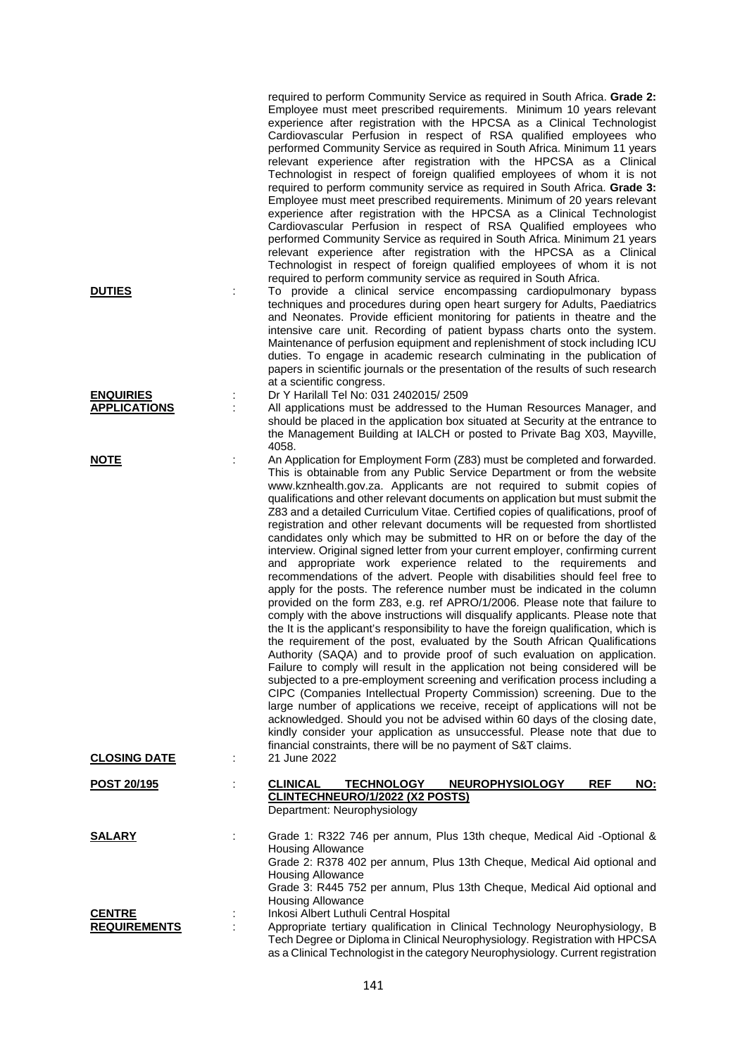|                                         |   | required to perform Community Service as required in South Africa. Grade 2:<br>Employee must meet prescribed requirements. Minimum 10 years relevant<br>experience after registration with the HPCSA as a Clinical Technologist<br>Cardiovascular Perfusion in respect of RSA qualified employees who<br>performed Community Service as required in South Africa. Minimum 11 years<br>relevant experience after registration with the HPCSA as a Clinical<br>Technologist in respect of foreign qualified employees of whom it is not<br>required to perform community service as required in South Africa. Grade 3:<br>Employee must meet prescribed requirements. Minimum of 20 years relevant<br>experience after registration with the HPCSA as a Clinical Technologist<br>Cardiovascular Perfusion in respect of RSA Qualified employees who<br>performed Community Service as required in South Africa. Minimum 21 years<br>relevant experience after registration with the HPCSA as a Clinical<br>Technologist in respect of foreign qualified employees of whom it is not                                                                                                                                                                                                                                                                                                                                                                                                                                                                                                                                                                                                                                                                                                                                                                                   |
|-----------------------------------------|---|---------------------------------------------------------------------------------------------------------------------------------------------------------------------------------------------------------------------------------------------------------------------------------------------------------------------------------------------------------------------------------------------------------------------------------------------------------------------------------------------------------------------------------------------------------------------------------------------------------------------------------------------------------------------------------------------------------------------------------------------------------------------------------------------------------------------------------------------------------------------------------------------------------------------------------------------------------------------------------------------------------------------------------------------------------------------------------------------------------------------------------------------------------------------------------------------------------------------------------------------------------------------------------------------------------------------------------------------------------------------------------------------------------------------------------------------------------------------------------------------------------------------------------------------------------------------------------------------------------------------------------------------------------------------------------------------------------------------------------------------------------------------------------------------------------------------------------------------------------------------|
| <b>DUTIES</b>                           |   | required to perform community service as required in South Africa.<br>To provide a clinical service encompassing cardiopulmonary bypass<br>techniques and procedures during open heart surgery for Adults, Paediatrics<br>and Neonates. Provide efficient monitoring for patients in theatre and the<br>intensive care unit. Recording of patient bypass charts onto the system.<br>Maintenance of perfusion equipment and replenishment of stock including ICU<br>duties. To engage in academic research culminating in the publication of<br>papers in scientific journals or the presentation of the results of such research<br>at a scientific congress.                                                                                                                                                                                                                                                                                                                                                                                                                                                                                                                                                                                                                                                                                                                                                                                                                                                                                                                                                                                                                                                                                                                                                                                                       |
| <b>ENQUIRIES</b><br><b>APPLICATIONS</b> | t | Dr Y Harilall Tel No: 031 2402015/ 2509<br>All applications must be addressed to the Human Resources Manager, and<br>should be placed in the application box situated at Security at the entrance to<br>the Management Building at IALCH or posted to Private Bag X03, Mayville,<br>4058.                                                                                                                                                                                                                                                                                                                                                                                                                                                                                                                                                                                                                                                                                                                                                                                                                                                                                                                                                                                                                                                                                                                                                                                                                                                                                                                                                                                                                                                                                                                                                                           |
| <u>NOTE</u>                             | t | An Application for Employment Form (Z83) must be completed and forwarded.<br>This is obtainable from any Public Service Department or from the website<br>www.kznhealth.gov.za. Applicants are not required to submit copies of<br>qualifications and other relevant documents on application but must submit the<br>Z83 and a detailed Curriculum Vitae. Certified copies of qualifications, proof of<br>registration and other relevant documents will be requested from shortlisted<br>candidates only which may be submitted to HR on or before the day of the<br>interview. Original signed letter from your current employer, confirming current<br>and appropriate work experience related to the requirements and<br>recommendations of the advert. People with disabilities should feel free to<br>apply for the posts. The reference number must be indicated in the column<br>provided on the form Z83, e.g. ref APRO/1/2006. Please note that failure to<br>comply with the above instructions will disqualify applicants. Please note that<br>the It is the applicant's responsibility to have the foreign qualification, which is<br>the requirement of the post, evaluated by the South African Qualifications<br>Authority (SAQA) and to provide proof of such evaluation on application.<br>Failure to comply will result in the application not being considered will be<br>subjected to a pre-employment screening and verification process including a<br>CIPC (Companies Intellectual Property Commission) screening. Due to the<br>large number of applications we receive, receipt of applications will not be<br>acknowledged. Should you not be advised within 60 days of the closing date,<br>kindly consider your application as unsuccessful. Please note that due to<br>financial constraints, there will be no payment of S&T claims. |
| <b>CLOSING DATE</b>                     | ÷ | 21 June 2022                                                                                                                                                                                                                                                                                                                                                                                                                                                                                                                                                                                                                                                                                                                                                                                                                                                                                                                                                                                                                                                                                                                                                                                                                                                                                                                                                                                                                                                                                                                                                                                                                                                                                                                                                                                                                                                        |
| POST 20/195                             | ÷ | <b>CLINICAL</b><br><b>TECHNOLOGY</b><br>REF<br><b>NEUROPHYSIOLOGY</b><br><u>NO:</u><br><b>CLINTECHNEURO/1/2022 (X2 POSTS)</b><br>Department: Neurophysiology                                                                                                                                                                                                                                                                                                                                                                                                                                                                                                                                                                                                                                                                                                                                                                                                                                                                                                                                                                                                                                                                                                                                                                                                                                                                                                                                                                                                                                                                                                                                                                                                                                                                                                        |
| <b>SALARY</b>                           |   | Grade 1: R322 746 per annum, Plus 13th cheque, Medical Aid -Optional &<br><b>Housing Allowance</b><br>Grade 2: R378 402 per annum, Plus 13th Cheque, Medical Aid optional and<br><b>Housing Allowance</b><br>Grade 3: R445 752 per annum, Plus 13th Cheque, Medical Aid optional and<br>Housing Allowance                                                                                                                                                                                                                                                                                                                                                                                                                                                                                                                                                                                                                                                                                                                                                                                                                                                                                                                                                                                                                                                                                                                                                                                                                                                                                                                                                                                                                                                                                                                                                           |
| <b>CENTRE</b><br><b>REQUIREMENTS</b>    | ÷ | Inkosi Albert Luthuli Central Hospital<br>Appropriate tertiary qualification in Clinical Technology Neurophysiology, B<br>Tech Degree or Diploma in Clinical Neurophysiology. Registration with HPCSA<br>as a Clinical Technologist in the category Neurophysiology. Current registration                                                                                                                                                                                                                                                                                                                                                                                                                                                                                                                                                                                                                                                                                                                                                                                                                                                                                                                                                                                                                                                                                                                                                                                                                                                                                                                                                                                                                                                                                                                                                                           |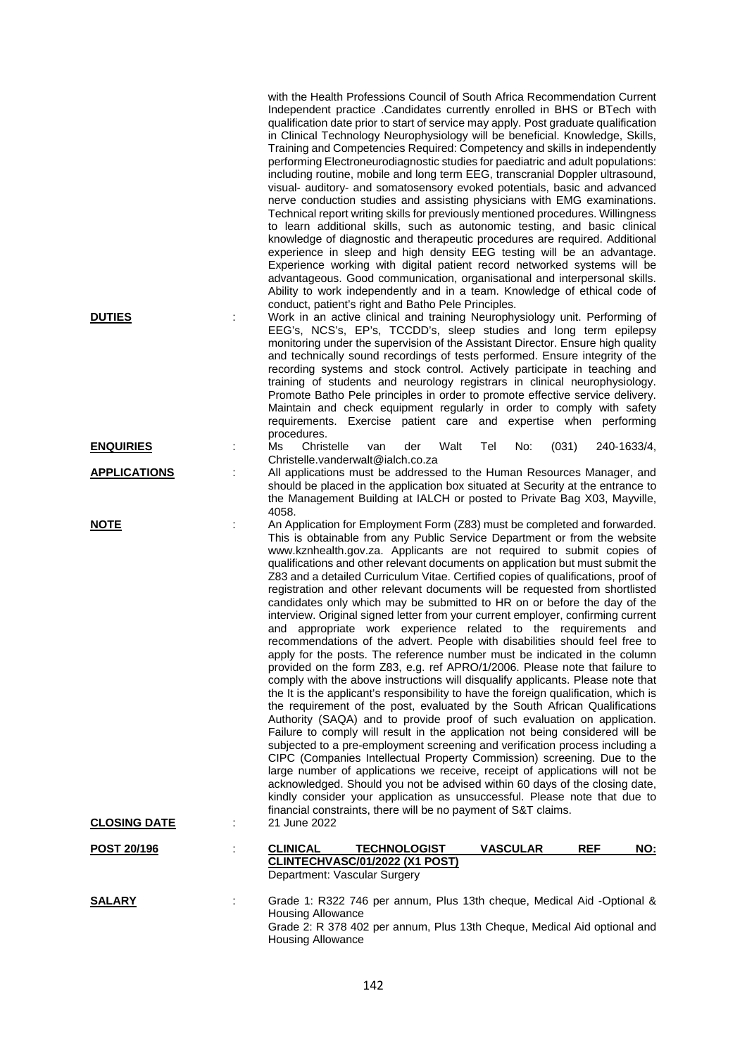| <b>DUTIES</b><br><b>ENQUIRIES</b><br><b>APPLICATIONS</b> | with the Health Professions Council of South Africa Recommendation Current<br>Independent practice .Candidates currently enrolled in BHS or BTech with<br>qualification date prior to start of service may apply. Post graduate qualification<br>in Clinical Technology Neurophysiology will be beneficial. Knowledge, Skills,<br>Training and Competencies Required: Competency and skills in independently<br>performing Electroneurodiagnostic studies for paediatric and adult populations:<br>including routine, mobile and long term EEG, transcranial Doppler ultrasound,<br>visual- auditory- and somatosensory evoked potentials, basic and advanced<br>nerve conduction studies and assisting physicians with EMG examinations.<br>Technical report writing skills for previously mentioned procedures. Willingness<br>to learn additional skills, such as autonomic testing, and basic clinical<br>knowledge of diagnostic and therapeutic procedures are required. Additional<br>experience in sleep and high density EEG testing will be an advantage.<br>Experience working with digital patient record networked systems will be<br>advantageous. Good communication, organisational and interpersonal skills.<br>Ability to work independently and in a team. Knowledge of ethical code of<br>conduct, patient's right and Batho Pele Principles.<br>Work in an active clinical and training Neurophysiology unit. Performing of<br>EEG's, NCS's, EP's, TCCDD's, sleep studies and long term epilepsy<br>monitoring under the supervision of the Assistant Director. Ensure high quality<br>and technically sound recordings of tests performed. Ensure integrity of the<br>recording systems and stock control. Actively participate in teaching and<br>training of students and neurology registrars in clinical neurophysiology.<br>Promote Batho Pele principles in order to promote effective service delivery.<br>Maintain and check equipment regularly in order to comply with safety<br>requirements. Exercise patient care and expertise when performing<br>procedures.<br>Ms<br>Christelle<br>Walt<br>Tel<br>No:<br>(031)<br>240-1633/4,<br>der<br>van<br>Christelle.vanderwalt@ialch.co.za<br>All applications must be addressed to the Human Resources Manager, and<br>should be placed in the application box situated at Security at the entrance to<br>the Management Building at IALCH or posted to Private Bag X03, Mayville, |
|----------------------------------------------------------|-----------------------------------------------------------------------------------------------------------------------------------------------------------------------------------------------------------------------------------------------------------------------------------------------------------------------------------------------------------------------------------------------------------------------------------------------------------------------------------------------------------------------------------------------------------------------------------------------------------------------------------------------------------------------------------------------------------------------------------------------------------------------------------------------------------------------------------------------------------------------------------------------------------------------------------------------------------------------------------------------------------------------------------------------------------------------------------------------------------------------------------------------------------------------------------------------------------------------------------------------------------------------------------------------------------------------------------------------------------------------------------------------------------------------------------------------------------------------------------------------------------------------------------------------------------------------------------------------------------------------------------------------------------------------------------------------------------------------------------------------------------------------------------------------------------------------------------------------------------------------------------------------------------------------------------------------------------------------------------------------------------------------------------------------------------------------------------------------------------------------------------------------------------------------------------------------------------------------------------------------------------------------------------------------------------------------------------------------------------------------------------------------------------------------------------------------------------------|
| <u>NOTE</u><br><b>CLOSING DATE</b>                       | 4058.<br>An Application for Employment Form (Z83) must be completed and forwarded.<br>This is obtainable from any Public Service Department or from the website<br>www.kznhealth.gov.za. Applicants are not required to submit copies of<br>qualifications and other relevant documents on application but must submit the<br>Z83 and a detailed Curriculum Vitae. Certified copies of qualifications, proof of<br>registration and other relevant documents will be requested from shortlisted<br>candidates only which may be submitted to HR on or before the day of the<br>interview. Original signed letter from your current employer, confirming current<br>and appropriate work experience related to the requirements and<br>recommendations of the advert. People with disabilities should feel free to<br>apply for the posts. The reference number must be indicated in the column<br>provided on the form Z83, e.g. ref APRO/1/2006. Please note that failure to<br>comply with the above instructions will disqualify applicants. Please note that<br>the It is the applicant's responsibility to have the foreign qualification, which is<br>the requirement of the post, evaluated by the South African Qualifications<br>Authority (SAQA) and to provide proof of such evaluation on application.<br>Failure to comply will result in the application not being considered will be<br>subjected to a pre-employment screening and verification process including a<br>CIPC (Companies Intellectual Property Commission) screening. Due to the<br>large number of applications we receive, receipt of applications will not be<br>acknowledged. Should you not be advised within 60 days of the closing date,<br>kindly consider your application as unsuccessful. Please note that due to<br>financial constraints, there will be no payment of S&T claims.<br>21 June 2022                                                                                                                                                                                                                                                                                                                                                                                                                                                                                                                                                                    |
|                                                          |                                                                                                                                                                                                                                                                                                                                                                                                                                                                                                                                                                                                                                                                                                                                                                                                                                                                                                                                                                                                                                                                                                                                                                                                                                                                                                                                                                                                                                                                                                                                                                                                                                                                                                                                                                                                                                                                                                                                                                                                                                                                                                                                                                                                                                                                                                                                                                                                                                                                 |
| POST 20/196                                              | <b>CLINICAL</b><br><b>VASCULAR</b><br>REF<br>NO:<br><b>TECHNOLOGIST</b><br>CLINTECHVASC/01/2022 (X1 POST)<br>Department: Vascular Surgery                                                                                                                                                                                                                                                                                                                                                                                                                                                                                                                                                                                                                                                                                                                                                                                                                                                                                                                                                                                                                                                                                                                                                                                                                                                                                                                                                                                                                                                                                                                                                                                                                                                                                                                                                                                                                                                                                                                                                                                                                                                                                                                                                                                                                                                                                                                       |
| <b>SALARY</b>                                            | Grade 1: R322 746 per annum, Plus 13th cheque, Medical Aid -Optional &<br><b>Housing Allowance</b><br>Grade 2: R 378 402 per annum, Plus 13th Cheque, Medical Aid optional and<br><b>Housing Allowance</b>                                                                                                                                                                                                                                                                                                                                                                                                                                                                                                                                                                                                                                                                                                                                                                                                                                                                                                                                                                                                                                                                                                                                                                                                                                                                                                                                                                                                                                                                                                                                                                                                                                                                                                                                                                                                                                                                                                                                                                                                                                                                                                                                                                                                                                                      |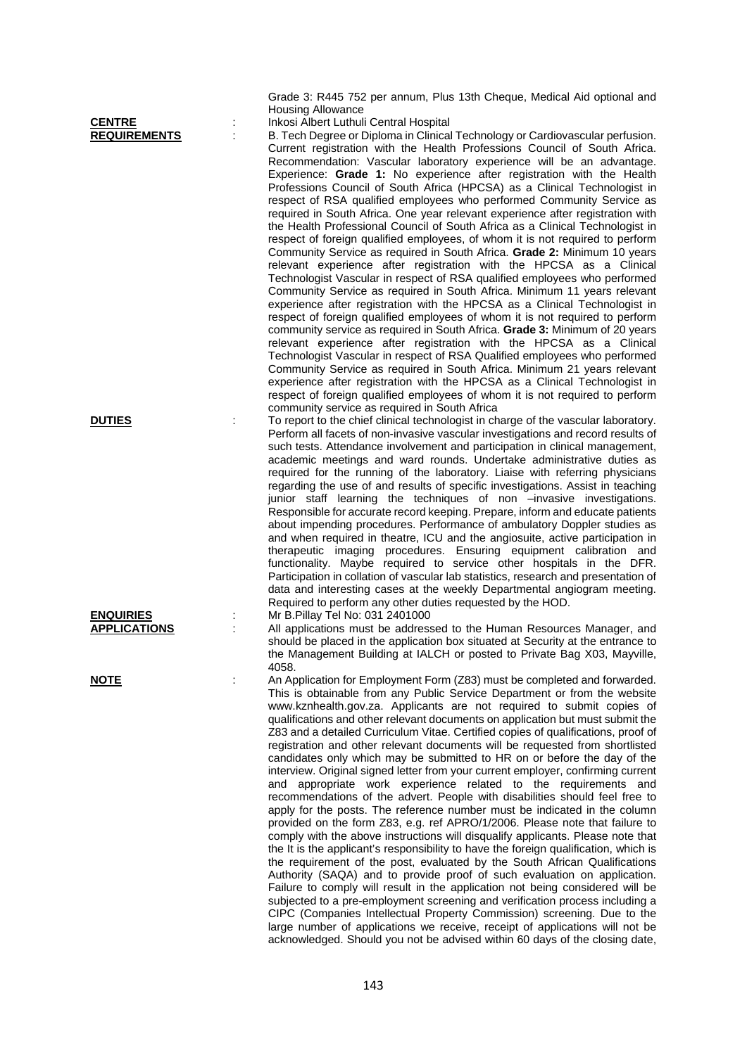|                     | <b>Housing Allowance</b>                                                             |
|---------------------|--------------------------------------------------------------------------------------|
| <b>CENTRE</b>       | Inkosi Albert Luthuli Central Hospital                                               |
| <b>REQUIREMENTS</b> | B. Tech Degree or Diploma in Clinical Technology or Cardiovascular perfusion.        |
|                     | Current registration with the Health Professions Council of South Africa.            |
|                     | Recommendation: Vascular laboratory experience will be an advantage.                 |
|                     | Experience: Grade 1: No experience after registration with the Health                |
|                     | Professions Council of South Africa (HPCSA) as a Clinical Technologist in            |
|                     | respect of RSA qualified employees who performed Community Service as                |
|                     |                                                                                      |
|                     | required in South Africa. One year relevant experience after registration with       |
|                     | the Health Professional Council of South Africa as a Clinical Technologist in        |
|                     | respect of foreign qualified employees, of whom it is not required to perform        |
|                     | Community Service as required in South Africa. Grade 2: Minimum 10 years             |
|                     | relevant experience after registration with the HPCSA as a Clinical                  |
|                     | Technologist Vascular in respect of RSA qualified employees who performed            |
|                     | Community Service as required in South Africa. Minimum 11 years relevant             |
|                     | experience after registration with the HPCSA as a Clinical Technologist in           |
|                     | respect of foreign qualified employees of whom it is not required to perform         |
|                     |                                                                                      |
|                     | community service as required in South Africa. Grade 3: Minimum of 20 years          |
|                     | relevant experience after registration with the HPCSA as a Clinical                  |
|                     | Technologist Vascular in respect of RSA Qualified employees who performed            |
|                     | Community Service as required in South Africa. Minimum 21 years relevant             |
|                     | experience after registration with the HPCSA as a Clinical Technologist in           |
|                     | respect of foreign qualified employees of whom it is not required to perform         |
|                     | community service as required in South Africa                                        |
| <b>DUTIES</b>       | To report to the chief clinical technologist in charge of the vascular laboratory.   |
|                     | Perform all facets of non-invasive vascular investigations and record results of     |
|                     | such tests. Attendance involvement and participation in clinical management,         |
|                     | academic meetings and ward rounds. Undertake administrative duties as                |
|                     | required for the running of the laboratory. Liaise with referring physicians         |
|                     | regarding the use of and results of specific investigations. Assist in teaching      |
|                     |                                                                                      |
|                     | junior staff learning the techniques of non -invasive investigations.                |
|                     | Responsible for accurate record keeping. Prepare, inform and educate patients        |
|                     | about impending procedures. Performance of ambulatory Doppler studies as             |
|                     | and when required in theatre, ICU and the angiosuite, active participation in        |
|                     | therapeutic imaging procedures. Ensuring equipment calibration and                   |
|                     | functionality. Maybe required to service other hospitals in the DFR.                 |
|                     | Participation in collation of vascular lab statistics, research and presentation of  |
|                     | data and interesting cases at the weekly Departmental angiogram meeting.             |
|                     | Required to perform any other duties requested by the HOD.                           |
| <b>ENQUIRIES</b>    | Mr B. Pillay Tel No: 031 2401000                                                     |
| <b>APPLICATIONS</b> | All applications must be addressed to the Human Resources Manager, and               |
|                     | should be placed in the application box situated at Security at the entrance to      |
|                     | the Management Building at IALCH or posted to Private Bag X03, Mayville,             |
|                     | 4058.                                                                                |
| <u>NOTE</u>         | An Application for Employment Form (Z83) must be completed and forwarded.            |
|                     | This is obtainable from any Public Service Department or from the website            |
|                     |                                                                                      |
|                     | www.kznhealth.gov.za. Applicants are not required to submit copies of                |
|                     | qualifications and other relevant documents on application but must submit the       |
|                     | Z83 and a detailed Curriculum Vitae. Certified copies of qualifications, proof of    |
|                     | registration and other relevant documents will be requested from shortlisted         |
|                     | candidates only which may be submitted to HR on or before the day of the             |
|                     | interview. Original signed letter from your current employer, confirming current     |
|                     | and appropriate work experience related to the requirements and                      |
|                     | recommendations of the advert. People with disabilities should feel free to          |
|                     | apply for the posts. The reference number must be indicated in the column            |
|                     | provided on the form Z83, e.g. ref APRO/1/2006. Please note that failure to          |
|                     | comply with the above instructions will disqualify applicants. Please note that      |
|                     | the It is the applicant's responsibility to have the foreign qualification, which is |
|                     | the requirement of the post, evaluated by the South African Qualifications           |
|                     | Authority (SAQA) and to provide proof of such evaluation on application.             |
|                     | Failure to comply will result in the application not being considered will be        |
|                     |                                                                                      |

subjected to a pre-employment screening and verification process including a CIPC (Companies Intellectual Property Commission) screening. Due to the large number of applications we receive, receipt of applications will not be acknowledged. Should you not be advised within 60 days of the closing date,

Grade 3: R445 752 per annum, Plus 13th Cheque, Medical Aid optional and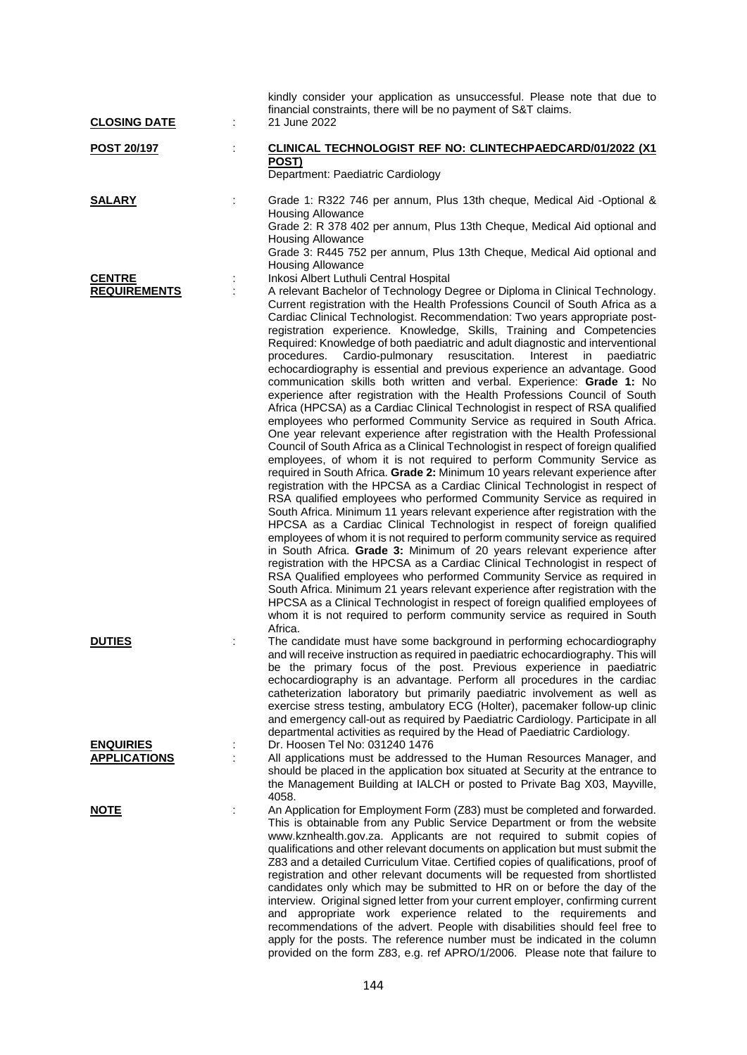| <b>CLOSING DATE</b>                     | kindly consider your application as unsuccessful. Please note that due to<br>financial constraints, there will be no payment of S&T claims.<br>21 June 2022                                                                                                                                                                                                                                                                                                                                                                                                                                                                                                                                                                                                                                                                                                                                                                                                                                                                                                                                                                                                                                                                                                                                                                                                                                                                                                                                                                                                                                                                                                                                                                                                                                                                                                                                                                                                                                                                                                                                                                                                              |
|-----------------------------------------|--------------------------------------------------------------------------------------------------------------------------------------------------------------------------------------------------------------------------------------------------------------------------------------------------------------------------------------------------------------------------------------------------------------------------------------------------------------------------------------------------------------------------------------------------------------------------------------------------------------------------------------------------------------------------------------------------------------------------------------------------------------------------------------------------------------------------------------------------------------------------------------------------------------------------------------------------------------------------------------------------------------------------------------------------------------------------------------------------------------------------------------------------------------------------------------------------------------------------------------------------------------------------------------------------------------------------------------------------------------------------------------------------------------------------------------------------------------------------------------------------------------------------------------------------------------------------------------------------------------------------------------------------------------------------------------------------------------------------------------------------------------------------------------------------------------------------------------------------------------------------------------------------------------------------------------------------------------------------------------------------------------------------------------------------------------------------------------------------------------------------------------------------------------------------|
| <b>POST 20/197</b>                      | CLINICAL TECHNOLOGIST REF NO: CLINTECHPAEDCARD/01/2022 (X1<br>POST)<br>Department: Paediatric Cardiology                                                                                                                                                                                                                                                                                                                                                                                                                                                                                                                                                                                                                                                                                                                                                                                                                                                                                                                                                                                                                                                                                                                                                                                                                                                                                                                                                                                                                                                                                                                                                                                                                                                                                                                                                                                                                                                                                                                                                                                                                                                                 |
| <u>SALARY</u>                           | Grade 1: R322 746 per annum, Plus 13th cheque, Medical Aid -Optional &<br><b>Housing Allowance</b><br>Grade 2: R 378 402 per annum, Plus 13th Cheque, Medical Aid optional and<br><b>Housing Allowance</b><br>Grade 3: R445 752 per annum, Plus 13th Cheque, Medical Aid optional and<br><b>Housing Allowance</b>                                                                                                                                                                                                                                                                                                                                                                                                                                                                                                                                                                                                                                                                                                                                                                                                                                                                                                                                                                                                                                                                                                                                                                                                                                                                                                                                                                                                                                                                                                                                                                                                                                                                                                                                                                                                                                                        |
| <b>CENTRE</b><br><b>REQUIREMENTS</b>    | Inkosi Albert Luthuli Central Hospital<br>A relevant Bachelor of Technology Degree or Diploma in Clinical Technology.<br>Current registration with the Health Professions Council of South Africa as a<br>Cardiac Clinical Technologist. Recommendation: Two years appropriate post-<br>registration experience. Knowledge, Skills, Training and Competencies<br>Required: Knowledge of both paediatric and adult diagnostic and interventional<br>Cardio-pulmonary resuscitation.<br>procedures.<br>Interest<br>in<br>paediatric<br>echocardiography is essential and previous experience an advantage. Good<br>communication skills both written and verbal. Experience: Grade 1: No<br>experience after registration with the Health Professions Council of South<br>Africa (HPCSA) as a Cardiac Clinical Technologist in respect of RSA qualified<br>employees who performed Community Service as required in South Africa.<br>One year relevant experience after registration with the Health Professional<br>Council of South Africa as a Clinical Technologist in respect of foreign qualified<br>employees, of whom it is not required to perform Community Service as<br>required in South Africa. Grade 2: Minimum 10 years relevant experience after<br>registration with the HPCSA as a Cardiac Clinical Technologist in respect of<br>RSA qualified employees who performed Community Service as required in<br>South Africa. Minimum 11 years relevant experience after registration with the<br>HPCSA as a Cardiac Clinical Technologist in respect of foreign qualified<br>employees of whom it is not required to perform community service as required<br>in South Africa. Grade 3: Minimum of 20 years relevant experience after<br>registration with the HPCSA as a Cardiac Clinical Technologist in respect of<br>RSA Qualified employees who performed Community Service as required in<br>South Africa. Minimum 21 years relevant experience after registration with the<br>HPCSA as a Clinical Technologist in respect of foreign qualified employees of<br>whom it is not required to perform community service as required in South<br>Africa. |
| <b>DUTIES</b>                           | The candidate must have some background in performing echocardiography<br>and will receive instruction as required in paediatric echocardiography. This will<br>be the primary focus of the post. Previous experience in paediatric<br>echocardiography is an advantage. Perform all procedures in the cardiac<br>catheterization laboratory but primarily paediatric involvement as well as<br>exercise stress testing, ambulatory ECG (Holter), pacemaker follow-up clinic<br>and emergency call-out as required by Paediatric Cardiology. Participate in all<br>departmental activities as required by the Head of Paediatric Cardiology.                                                                                                                                                                                                                                                                                                                                                                                                                                                                                                                                                                                                                                                                                                                                                                                                                                                                                                                                                                                                                                                                                                                                                                                                                                                                                                                                                                                                                                                                                                                             |
| <b>ENQUIRIES</b><br><b>APPLICATIONS</b> | Dr. Hoosen Tel No: 031240 1476<br>All applications must be addressed to the Human Resources Manager, and<br>should be placed in the application box situated at Security at the entrance to<br>the Management Building at IALCH or posted to Private Bag X03, Mayville,<br>4058.                                                                                                                                                                                                                                                                                                                                                                                                                                                                                                                                                                                                                                                                                                                                                                                                                                                                                                                                                                                                                                                                                                                                                                                                                                                                                                                                                                                                                                                                                                                                                                                                                                                                                                                                                                                                                                                                                         |
| <b>NOTE</b>                             | An Application for Employment Form (Z83) must be completed and forwarded.<br>This is obtainable from any Public Service Department or from the website<br>www.kznhealth.gov.za. Applicants are not required to submit copies of<br>qualifications and other relevant documents on application but must submit the<br>Z83 and a detailed Curriculum Vitae. Certified copies of qualifications, proof of<br>registration and other relevant documents will be requested from shortlisted<br>candidates only which may be submitted to HR on or before the day of the<br>interview. Original signed letter from your current employer, confirming current<br>appropriate work experience related to the requirements and<br>and<br>recommendations of the advert. People with disabilities should feel free to<br>apply for the posts. The reference number must be indicated in the column<br>provided on the form Z83, e.g. ref APRO/1/2006. Please note that failure to                                                                                                                                                                                                                                                                                                                                                                                                                                                                                                                                                                                                                                                                                                                                                                                                                                                                                                                                                                                                                                                                                                                                                                                                  |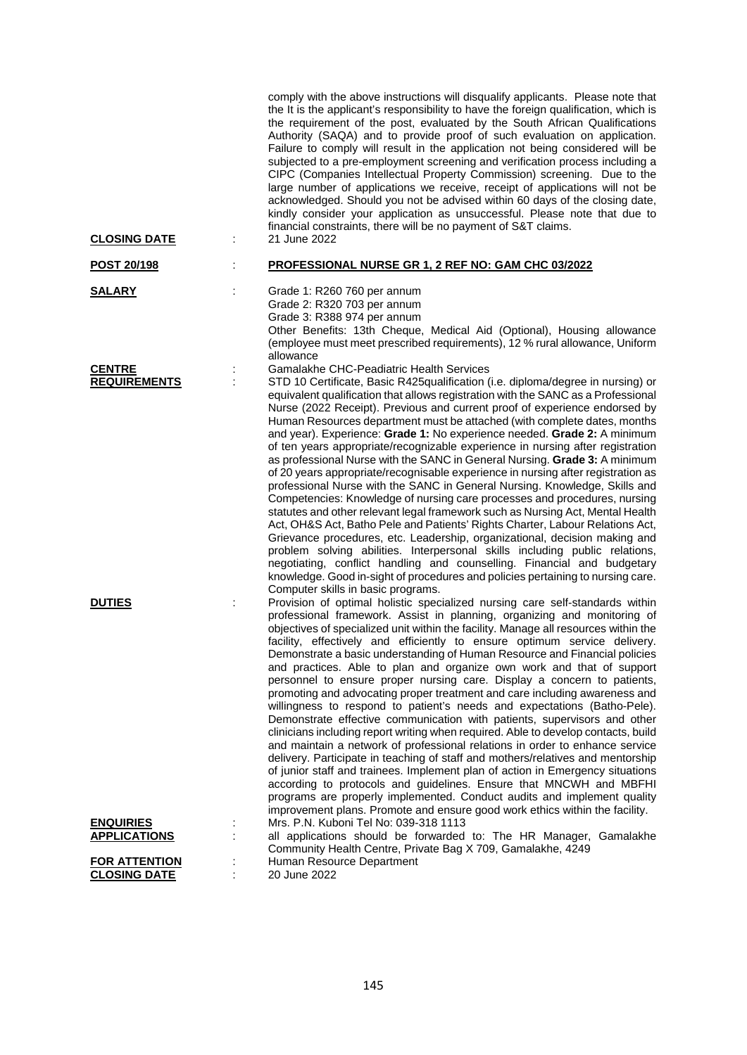| <b>CLOSING DATE</b>                         | t, | comply with the above instructions will disqualify applicants. Please note that<br>the It is the applicant's responsibility to have the foreign qualification, which is<br>the requirement of the post, evaluated by the South African Qualifications<br>Authority (SAQA) and to provide proof of such evaluation on application.<br>Failure to comply will result in the application not being considered will be<br>subjected to a pre-employment screening and verification process including a<br>CIPC (Companies Intellectual Property Commission) screening. Due to the<br>large number of applications we receive, receipt of applications will not be<br>acknowledged. Should you not be advised within 60 days of the closing date,<br>kindly consider your application as unsuccessful. Please note that due to<br>financial constraints, there will be no payment of S&T claims.<br>21 June 2022                                                                                                                                                                                                                                                                                                                                                                                                                                                                                               |
|---------------------------------------------|----|-----------------------------------------------------------------------------------------------------------------------------------------------------------------------------------------------------------------------------------------------------------------------------------------------------------------------------------------------------------------------------------------------------------------------------------------------------------------------------------------------------------------------------------------------------------------------------------------------------------------------------------------------------------------------------------------------------------------------------------------------------------------------------------------------------------------------------------------------------------------------------------------------------------------------------------------------------------------------------------------------------------------------------------------------------------------------------------------------------------------------------------------------------------------------------------------------------------------------------------------------------------------------------------------------------------------------------------------------------------------------------------------------------------|
| POST 20/198                                 |    | PROFESSIONAL NURSE GR 1, 2 REF NO: GAM CHC 03/2022                                                                                                                                                                                                                                                                                                                                                                                                                                                                                                                                                                                                                                                                                                                                                                                                                                                                                                                                                                                                                                                                                                                                                                                                                                                                                                                                                        |
| <b>SALARY</b>                               | t  | Grade 1: R260 760 per annum<br>Grade 2: R320 703 per annum<br>Grade 3: R388 974 per annum<br>Other Benefits: 13th Cheque, Medical Aid (Optional), Housing allowance<br>(employee must meet prescribed requirements), 12 % rural allowance, Uniform<br>allowance                                                                                                                                                                                                                                                                                                                                                                                                                                                                                                                                                                                                                                                                                                                                                                                                                                                                                                                                                                                                                                                                                                                                           |
| <b>CENTRE</b><br><b>REQUIREMENTS</b>        |    | Gamalakhe CHC-Peadiatric Health Services<br>STD 10 Certificate, Basic R425qualification (i.e. diploma/degree in nursing) or<br>equivalent qualification that allows registration with the SANC as a Professional<br>Nurse (2022 Receipt). Previous and current proof of experience endorsed by<br>Human Resources department must be attached (with complete dates, months<br>and year). Experience: Grade 1: No experience needed. Grade 2: A minimum<br>of ten years appropriate/recognizable experience in nursing after registration<br>as professional Nurse with the SANC in General Nursing. Grade 3: A minimum<br>of 20 years appropriate/recognisable experience in nursing after registration as<br>professional Nurse with the SANC in General Nursing. Knowledge, Skills and<br>Competencies: Knowledge of nursing care processes and procedures, nursing<br>statutes and other relevant legal framework such as Nursing Act, Mental Health<br>Act, OH&S Act, Batho Pele and Patients' Rights Charter, Labour Relations Act,<br>Grievance procedures, etc. Leadership, organizational, decision making and<br>problem solving abilities. Interpersonal skills including public relations,<br>negotiating, conflict handling and counselling. Financial and budgetary<br>knowledge. Good in-sight of procedures and policies pertaining to nursing care.<br>Computer skills in basic programs. |
| <b>DUTIES</b>                               |    | Provision of optimal holistic specialized nursing care self-standards within<br>professional framework. Assist in planning, organizing and monitoring of<br>objectives of specialized unit within the facility. Manage all resources within the<br>facility, effectively and efficiently to ensure optimum service delivery.<br>Demonstrate a basic understanding of Human Resource and Financial policies<br>and practices. Able to plan and organize own work and that of support<br>personnel to ensure proper nursing care. Display a concern to patients,<br>promoting and advocating proper treatment and care including awareness and<br>willingness to respond to patient's needs and expectations (Batho-Pele).<br>Demonstrate effective communication with patients, supervisors and other<br>clinicians including report writing when required. Able to develop contacts, build<br>and maintain a network of professional relations in order to enhance service<br>delivery. Participate in teaching of staff and mothers/relatives and mentorship<br>of junior staff and trainees. Implement plan of action in Emergency situations<br>according to protocols and guidelines. Ensure that MNCWH and MBFHI<br>programs are properly implemented. Conduct audits and implement quality<br>improvement plans. Promote and ensure good work ethics within the facility.                           |
| <b>ENQUIRIES</b><br><b>APPLICATIONS</b>     |    | Mrs. P.N. Kuboni Tel No: 039-318 1113<br>all applications should be forwarded to: The HR Manager, Gamalakhe                                                                                                                                                                                                                                                                                                                                                                                                                                                                                                                                                                                                                                                                                                                                                                                                                                                                                                                                                                                                                                                                                                                                                                                                                                                                                               |
| <b>FOR ATTENTION</b><br><b>CLOSING DATE</b> |    | Community Health Centre, Private Bag X 709, Gamalakhe, 4249<br>Human Resource Department<br>20 June 2022                                                                                                                                                                                                                                                                                                                                                                                                                                                                                                                                                                                                                                                                                                                                                                                                                                                                                                                                                                                                                                                                                                                                                                                                                                                                                                  |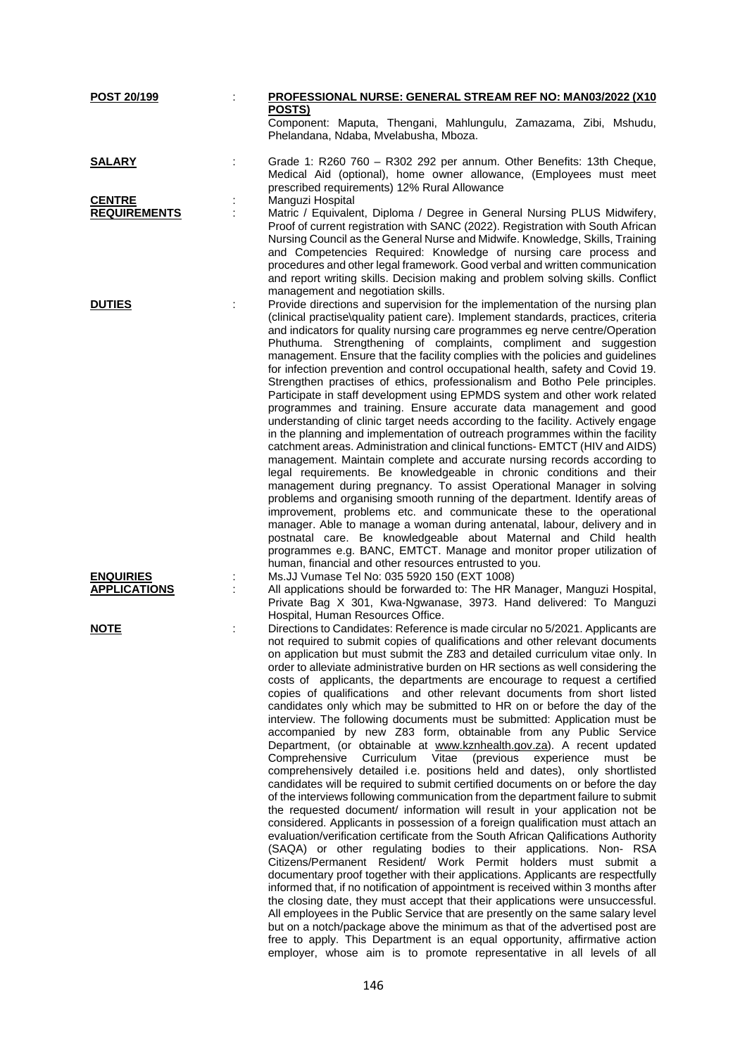| POST 20/199         |   | PROFESSIONAL NURSE: GENERAL STREAM REF NO: MAN03/2022 (X10                         |
|---------------------|---|------------------------------------------------------------------------------------|
|                     |   | POSTS)                                                                             |
|                     |   | Component: Maputa, Thengani, Mahlungulu, Zamazama, Zibi, Mshudu,                   |
|                     |   | Phelandana, Ndaba, Mvelabusha, Mboza.                                              |
|                     |   |                                                                                    |
| <u>SALARY</u>       |   | Grade 1: R260 760 - R302 292 per annum. Other Benefits: 13th Cheque,               |
|                     |   | Medical Aid (optional), home owner allowance, (Employees must meet                 |
|                     |   | prescribed requirements) 12% Rural Allowance                                       |
|                     |   |                                                                                    |
| <b>CENTRE</b>       |   | Manguzi Hospital                                                                   |
| <b>REQUIREMENTS</b> | ÷ | Matric / Equivalent, Diploma / Degree in General Nursing PLUS Midwifery,           |
|                     |   | Proof of current registration with SANC (2022). Registration with South African    |
|                     |   | Nursing Council as the General Nurse and Midwife. Knowledge, Skills, Training      |
|                     |   | and Competencies Required: Knowledge of nursing care process and                   |
|                     |   | procedures and other legal framework. Good verbal and written communication        |
|                     |   | and report writing skills. Decision making and problem solving skills. Conflict    |
|                     |   | management and negotiation skills.                                                 |
| <b>DUTIES</b>       |   | Provide directions and supervision for the implementation of the nursing plan      |
|                     |   | (clinical practise\quality patient care). Implement standards, practices, criteria |
|                     |   | and indicators for quality nursing care programmes eg nerve centre/Operation       |
|                     |   |                                                                                    |
|                     |   | Phuthuma. Strengthening of complaints, compliment and suggestion                   |
|                     |   | management. Ensure that the facility complies with the policies and guidelines     |
|                     |   | for infection prevention and control occupational health, safety and Covid 19.     |
|                     |   | Strengthen practises of ethics, professionalism and Botho Pele principles.         |
|                     |   | Participate in staff development using EPMDS system and other work related         |
|                     |   | programmes and training. Ensure accurate data management and good                  |
|                     |   | understanding of clinic target needs according to the facility. Actively engage    |
|                     |   | in the planning and implementation of outreach programmes within the facility      |
|                     |   | catchment areas. Administration and clinical functions- EMTCT (HIV and AIDS)       |
|                     |   | management. Maintain complete and accurate nursing records according to            |
|                     |   |                                                                                    |
|                     |   | legal requirements. Be knowledgeable in chronic conditions and their               |
|                     |   | management during pregnancy. To assist Operational Manager in solving              |
|                     |   | problems and organising smooth running of the department. Identify areas of        |
|                     |   | improvement, problems etc. and communicate these to the operational                |
|                     |   | manager. Able to manage a woman during antenatal, labour, delivery and in          |
|                     |   | postnatal care. Be knowledgeable about Maternal and Child health                   |
|                     |   | programmes e.g. BANC, EMTCT. Manage and monitor proper utilization of              |
|                     |   | human, financial and other resources entrusted to you.                             |
| <b>ENQUIRIES</b>    |   | Ms.JJ Vumase Tel No: 035 5920 150 (EXT 1008)                                       |
|                     |   |                                                                                    |
| <b>APPLICATIONS</b> |   | All applications should be forwarded to: The HR Manager, Manguzi Hospital,         |
|                     |   | Private Bag X 301, Kwa-Ngwanase, 3973. Hand delivered: To Manguzi                  |
|                     |   | Hospital, Human Resources Office.                                                  |
| <b>NOTE</b>         | ÷ | Directions to Candidates: Reference is made circular no 5/2021. Applicants are     |
|                     |   | not required to submit copies of qualifications and other relevant documents       |
|                     |   | on application but must submit the Z83 and detailed curriculum vitae only. In      |
|                     |   | order to alleviate administrative burden on HR sections as well considering the    |
|                     |   | costs of applicants, the departments are encourage to request a certified          |
|                     |   | copies of qualifications and other relevant documents from short listed            |
|                     |   | candidates only which may be submitted to HR on or before the day of the           |
|                     |   | interview. The following documents must be submitted: Application must be          |
|                     |   |                                                                                    |
|                     |   | accompanied by new Z83 form, obtainable from any Public Service                    |
|                     |   | Department, (or obtainable at www.kznhealth.gov.za). A recent updated              |
|                     |   | Comprehensive<br>Curriculum Vitae<br>(previous<br>experience<br>must<br>be         |
|                     |   | comprehensively detailed i.e. positions held and dates), only shortlisted          |
|                     |   | candidates will be required to submit certified documents on or before the day     |
|                     |   | of the interviews following communication from the department failure to submit    |
|                     |   | the requested document/ information will result in your application not be         |
|                     |   | considered. Applicants in possession of a foreign qualification must attach an     |
|                     |   | evaluation/verification certificate from the South African Qalifications Authority |
|                     |   | (SAQA) or other regulating bodies to their applications. Non-RSA                   |
|                     |   |                                                                                    |
|                     |   | Citizens/Permanent Resident/ Work Permit holders must submit a                     |
|                     |   | documentary proof together with their applications. Applicants are respectfully    |
|                     |   | informed that, if no notification of appointment is received within 3 months after |
|                     |   | the closing date, they must accept that their applications were unsuccessful.      |
|                     |   | All employees in the Public Service that are presently on the same salary level    |
|                     |   | but on a notch/package above the minimum as that of the advertised post are        |
|                     |   | free to apply. This Department is an equal opportunity, affirmative action         |
|                     |   | employer, whose aim is to promote representative in all levels of all              |
|                     |   |                                                                                    |